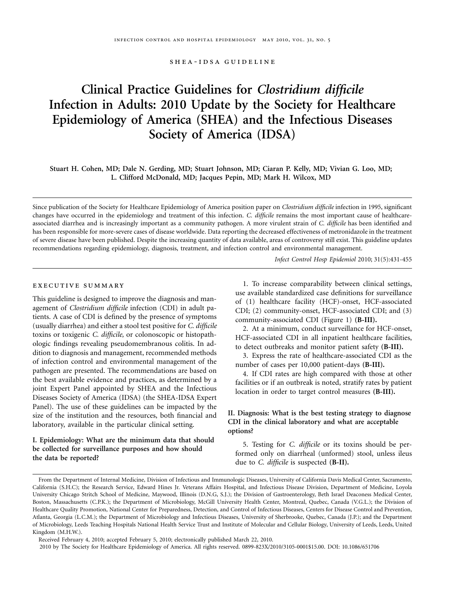shea-idsa guideline

# **Clinical Practice Guidelines for** *Clostridium difficile* **Infection in Adults: 2010 Update by the Society for Healthcare Epidemiology of America (SHEA) and the Infectious Diseases Society of America (IDSA)**

**Stuart H. Cohen, MD; Dale N. Gerding, MD; Stuart Johnson, MD; Ciaran P. Kelly, MD; Vivian G. Loo, MD; L. Clifford McDonald, MD; Jacques Pepin, MD; Mark H. Wilcox, MD** 

Since publication of the Society for Healthcare Epidemiology of America position paper on *Clostridium difficile* infection in 1995, significant changes have occurred in the epidemiology and treatment of this infection. *C. difficile* remains the most important cause of healthcareassociated diarrhea and is increasingly important as a community pathogen. A more virulent strain of *C. difficile* has been identified and has been responsible for more-severe cases of disease worldwide. Data reporting the decreased effectiveness of metronidazole in the treatment of severe disease have been published. Despite the increasing quantity of data available, areas of controversy still exist. This guideline updates recommendations regarding epidemiology, diagnosis, treatment, and infection control and environmental management.

*Infect Control Hosp Epidemiol* 2010; 31(5):431-455

# executive summary

This guideline is designed to improve the diagnosis and management of *Clostridium difficile* infection (CDI) in adult patients. A case of CDI is defined by the presence of symptoms (usually diarrhea) and either a stool test positive for *C. difficile*  toxins or toxigenic *C. difficile,* or colonoscopic or histopathologic findings revealing pseudomembranous colitis. In addition to diagnosis and management, recommended methods of infection control and environmental management of the pathogen are presented. The recommendations are based on the best available evidence and practices, as determined by a joint Expert Panel appointed by SHEA and the Infectious Diseases Society of America (IDSA) (the SHEA-IDSA Expert Panel). The use of these guidelines can be impacted by the size of the institution and the resources, both financial and laboratory, available in the particular clinical setting.

# **I. Epidemiology: What are the minimum data that should be collected for surveillance purposes and how should the data be reported?**

1. To increase comparability between clinical settings, use available standardized case definitions for surveillance of (1) healthcare facility (HCF)-onset, HCF-associated CDI; (2) community-onset, HCF-associated CDI; and (3) community-associated CDI (Figure 1) **(B-III).** 

2. At a minimum, conduct surveillance for HCF-onset, HCF-associated CDI in all inpatient healthcare facilities, to detect outbreaks and monitor patient safety **(B-III).** 

3. Express the rate of healthcare-associated CDI as the number of cases per 10,000 patient-days **(B-III).** 

4. If CDI rates are high compared with those at other facilities or if an outbreak is noted, stratify rates by patient location in order to target control measures **(B-III).** 

# **II. Diagnosis: What is the best testing strategy to diagnose CDI in the clinical laboratory and what are acceptable options?**

5. Testing for *C. difficile* or its toxins should be performed only on diarrheal (unformed) stool, unless ileus due to *C. difficile* is suspected (B-II).

From the Department of Internal Medicine, Division of Infectious and Immunologic Diseases, University of California Davis Medical Center, Sacramento, California (S.H.C); the Research Service, Edward Hines Jr. Veterans Affairs Hospital, and Infectious Disease Division, Department of Medicine, Loyola University Chicago Stritch School of Medicine, Maywood, Illinois (D.N.G, S.J.); the Division of Gastroenterology, Beth Israel Deaconess Medical Center, Boston, Massachusetts (C.P.K.); the Department of Microbiology, McGill University Health Center, Montreal, Quebec, Canada (V.G.L.); the Division of Healthcare Quality Promotion, National Center for Preparedness, Detection, and Control of Infectious Diseases, Centers for Disease Control and Prevention, Atlanta, Georgia (L.C.M.); the Department of Microbiology and Infectious Diseases, University of Sherbrooke, Quebec, Canada (J.P.); and the Department of Microbiology, Leeds Teaching Hospitals National Health Service Trust and Institute of Molecular and Cellular Biology, University of Leeds, Leeds, United Kingdom (M.H.W.).

Received February 4, 2010; accepted February 5, 2010; electronically published March 22, 2010.

<sup>2010</sup> by The Society for Healthcare Epidemiology of America. All rights reserved. 0899-823X/2010/3105-0001\$15.00. DOI: 10.1086/651706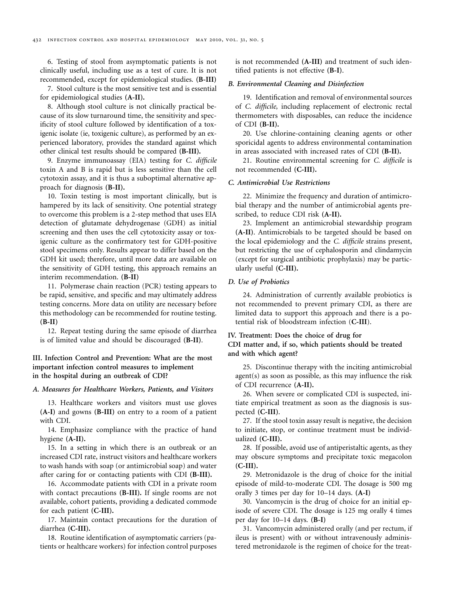6. Testing of stool from asymptomatic patients is not clinically useful, including use as a test of cure. It is not recommended, except for epidemiological studies. **(B-III)** 

7. Stool culture is the most sensitive test and is essential for epidemiological studies **(A-II).** 

8. Although stool culture is not clinically practical because of its slow turnaround time, the sensitivity and specificity of stool culture followed by identification of a toxigenic isolate (ie, toxigenic culture), as performed by an experienced laboratory, provides the standard against which other clinical test results should be compared **(B-III).** 

9. Enzyme immunoassay (EIA) testing for *C. difficile*  toxin A and B is rapid but is less sensitive than the cell cytotoxin assay, and it is thus a suboptimal alternative approach for diagnosis **(B-II).** 

10. Toxin testing is most important clinically, but is hampered by its lack of sensitivity. One potential strategy to overcome this problem is a 2-step method that uses EIA detection of glutamate dehydrogenase (GDH) as initial screening and then uses the cell cytotoxicity assay or toxigenic culture as the confirmatory test for GDH-positive stool specimens only. Results appear to differ based on the GDH kit used; therefore, until more data are available on the sensitivity of GDH testing, this approach remains an interim recommendation. **(B-II)** 

11. Polymerase chain reaction (PCR) testing appears to be rapid, sensitive, and specific and may ultimately address testing concerns. More data on utility are necessary before this methodology can be recommended for routine testing. **(B-II)** 

12. Repeat testing during the same episode of diarrhea is of limited value and should be discouraged **(B-II)**.

**III. Infection Control and Prevention: What are the most important infection control measures to implement in the hospital during an outbreak of CDI?** 

*A. Measures for Healthcare Workers, Patients, and Visitors* 

13. Healthcare workers and visitors must use gloves **(A-I)** and gowns **(B-III)** on entry to a room of a patient with CDI.

14. Emphasize compliance with the practice of hand hygiene **(A-II).** 

15. In a setting in which there is an outbreak or an increased CDI rate, instruct visitors and healthcare workers to wash hands with soap (or antimicrobial soap) and water after caring for or contacting patients with CDI **(B-III).** 

16. Accommodate patients with CDI in a private room with contact precautions **(B-III).** If single rooms are not available, cohort patients, providing a dedicated commode for each patient **(C-III).** 

17. Maintain contact precautions for the duration of diarrhea **(C-III).** 

18. Routine identification of asymptomatic carriers (patients or healthcare workers) for infection control purposes is not recommended **(A-III)** and treatment of such identified patients is not effective **(B-I)**.

#### *B. Environmental Cleaning and Disinfection*

19. Identification and removal of environmental sources of *C. difficile,* including replacement of electronic rectal thermometers with disposables, can reduce the incidence of CDI **(B-II).** 

20. Use chlorine-containing cleaning agents or other sporicidal agents to address environmental contamination in areas associated with increased rates of CDI **(B-II).** 

21. Routine environmental screening for *C. difficile* is not recommended **(C-III).** 

#### *C. Antimicrobial Use Restrictions*

22. Minimize the frequency and duration of antimicrobial therapy and the number of antimicrobial agents prescribed, to reduce CDI risk **(A-II).** 

23. Implement an antimicrobial stewardship program **(A-II)**. Antimicrobials to be targeted should be based on the local epidemiology and the *C. difficile* strains present, but restricting the use of cephalosporin and clindamycin (except for surgical antibiotic prophylaxis) may be particularly useful **(C-III).** 

# *D. Use of Probiotics*

24. Administration of currently available probiotics is not recommended to prevent primary CDI, as there are limited data to support this approach and there is a potential risk of bloodstream infection (**C-III**).

# **IV. Treatment: Does the choice of drug for CDI matter and, if so, which patients should be treated and with which agent?**

25. Discontinue therapy with the inciting antimicrobial agent(s) as soon as possible, as this may influence the risk of CDI recurrence **(A-II).** 

26. When severe or complicated CDI is suspected, initiate empirical treatment as soon as the diagnosis is suspected **(C-III)**.

27. If the stool toxin assay result is negative, the decision to initiate, stop, or continue treatment must be individualized **(C-III).** 

28. If possible, avoid use of antiperistaltic agents, as they may obscure symptoms and precipitate toxic megacolon **(C-III).** 

29. Metronidazole is the drug of choice for the initial episode of mild-to-moderate CDI. The dosage is 500 mg orally 3 times per day for 10–14 days. **(A-I)** 

30. Vancomycin is the drug of choice for an initial episode of severe CDI. The dosage is 125 mg orally 4 times per day for 10–14 days. **(B-I)** 

31. Vancomycin administered orally (and per rectum, if ileus is present) with or without intravenously administered metronidazole is the regimen of choice for the treat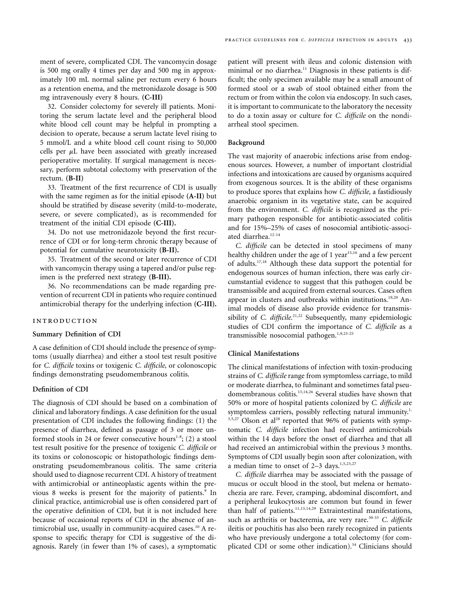ment of severe, complicated CDI. The vancomycin dosage is 500 mg orally 4 times per day and 500 mg in approximately 100 mL normal saline per rectum every 6 hours as a retention enema, and the metronidazole dosage is 500 mg intravenously every 8 hours. **(C-III)** 

32. Consider colectomy for severely ill patients. Monitoring the serum lactate level and the peripheral blood white blood cell count may be helpful in prompting a decision to operate, because a serum lactate level rising to 5 mmol/L and a white blood cell count rising to 50,000 cells per  $\mu$ L have been associated with greatly increased perioperative mortality. If surgical management is necessary, perform subtotal colectomy with preservation of the rectum. **(B-II)** 

33. Treatment of the first recurrence of CDI is usually with the same regimen as for the initial episode **(A-II)** but should be stratified by disease severity (mild-to-moderate, severe, or severe complicated), as is recommended for treatment of the initial CDI episode **(C-III).** 

34. Do not use metronidazole beyond the first recurrence of CDI or for long-term chronic therapy because of potential for cumulative neurotoxicity **(B-II).** 

35. Treatment of the second or later recurrence of CDI with vancomycin therapy using a tapered and/or pulse regimen is the preferred next strategy **(B-III).** 

36. No recommendations can be made regarding prevention of recurrent CDI in patients who require continued antimicrobial therapy for the underlying infection **(C-III).** 

#### introduction

# **Summary Definition of CDI**

A case definition of CDI should include the presence of symptoms (usually diarrhea) and either a stool test result positive for *C. difficile* toxins or toxigenic *C. difficile,* or colonoscopic findings demonstrating pseudomembranous colitis.

# **Definition of CDI**

The diagnosis of CDI should be based on a combination of clinical and laboratory findings. A case definition for the usual presentation of CDI includes the following findings: (1) the presence of diarrhea, defined as passage of 3 or more unformed stools in 24 or fewer consecutive hours<sup>1-8</sup>; (2) a stool test result positive for the presence of toxigenic *C. difficile* or its toxins or colonoscopic or histopathologic findings demonstrating pseudomembranous colitis. The same criteria should used to diagnose recurrent CDI. A history of treatment with antimicrobial or antineoplastic agents within the previous 8 weeks is present for the majority of patients.<sup>9</sup> In clinical practice, antimicrobial use is often considered part of the operative definition of CDI, but it is not included here because of occasional reports of CDI in the absence of antimicrobial use, usually in community-acquired cases.<sup>10</sup> A response to specific therapy for CDI is suggestive of the diagnosis. Rarely (in fewer than 1% of cases), a symptomatic

patient will present with ileus and colonic distension with minimal or no diarrhea.<sup>11</sup> Diagnosis in these patients is difficult; the only specimen available may be a small amount of formed stool or a swab of stool obtained either from the rectum or from within the colon via endoscopy. In such cases, it is important to communicate to the laboratory the necessity to do a toxin assay or culture for *C. difficile* on the nondiarrheal stool specimen.

#### **Background**

The vast majority of anaerobic infections arise from endogenous sources. However, a number of important clostridial infections and intoxications are caused by organisms acquired from exogenous sources. It is the ability of these organisms to produce spores that explains how *C. difficile,* a fastidiously anaerobic organism in its vegetative state, can be acquired from the environment. *C. difficile* is recognized as the primary pathogen responsible for antibiotic-associated colitis and for 15%–25% of cases of nosocomial antibiotic-associated diarrhea.<sup>12-14</sup>

*C. difficile* can be detected in stool specimens of many healthy children under the age of 1 year<sup>15,16</sup> and a few percent of adults.17,18 Although these data support the potential for endogenous sources of human infection, there was early circumstantial evidence to suggest that this pathogen could be transmissible and acquired from external sources. Cases often appear in clusters and outbreaks within institutions.<sup>19,20</sup> Animal models of disease also provide evidence for transmis sibility of *C. difficile*.<sup>21,22</sup> Subsequently, many epidemiologic studies of CDI confirm the importance of *C. difficile* as a transmissible nosocomial pathogen.<sup>1,9,23-25</sup>

# **Clinical Manifestations**

The clinical manifestations of infection with toxin-producing strains of *C. difficile* range from symptomless carriage, to mild or moderate diarrhea, to fulminant and sometimes fatal pseudomembranous colitis.13,14,26 Several studies have shown that 50% or more of hospital patients colonized by *C. difficile* are symptomless carriers, possibly reflecting natural immunity.<sup>1,</sup> 3,5,27 Olson et al<sup>28</sup> reported that 96% of patients with symptomatic *C. difficile* infection had received antimicrobials within the 14 days before the onset of diarrhea and that all had received an antimicrobial within the previous 3 months. Symptoms of CDI usually begin soon after colonization, with a median time to onset of  $2-3$  days.<sup>1,5,23,27</sup>

*C. difficile* diarrhea may be associated with the passage of mucus or occult blood in the stool, but melena or hematochezia are rare. Fever, cramping, abdominal discomfort, and a peripheral leukocytosis are common but found in fewer than half of patients.<sup>11,13,14,29</sup> Extraintestinal manifestations, such as arthritis or bacteremia, are very rare.<sup>30-33</sup> *C. difficile* ileitis or pouchitis has also been rarely recognized in patients who have previously undergone a total colectomy (for complicated CDI or some other indication).<sup>34</sup> Clinicians should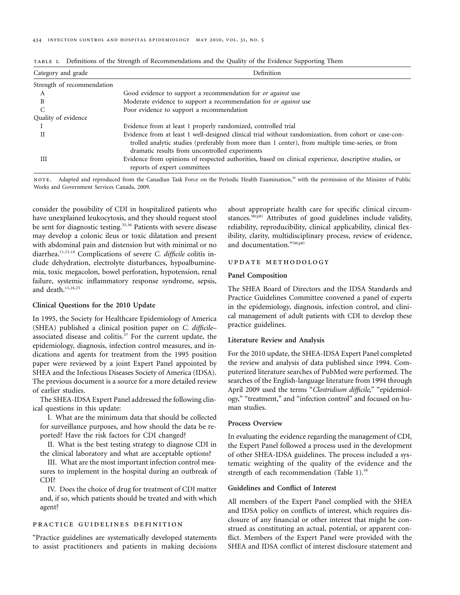| Category and grade         | Definition                                                                                                                                                                                                                                                   |  |  |
|----------------------------|--------------------------------------------------------------------------------------------------------------------------------------------------------------------------------------------------------------------------------------------------------------|--|--|
| Strength of recommendation |                                                                                                                                                                                                                                                              |  |  |
| А                          | Good evidence to support a recommendation for or against use                                                                                                                                                                                                 |  |  |
| B                          | Moderate evidence to support a recommendation for or against use                                                                                                                                                                                             |  |  |
|                            | Poor evidence to support a recommendation                                                                                                                                                                                                                    |  |  |
| Quality of evidence        |                                                                                                                                                                                                                                                              |  |  |
|                            | Evidence from at least 1 properly randomized, controlled trial                                                                                                                                                                                               |  |  |
|                            | Evidence from at least 1 well-designed clinical trial without randomization, from cohort or case-con-<br>trolled analytic studies (preferably from more than 1 center), from multiple time-series, or from<br>dramatic results from uncontrolled experiments |  |  |
| Ш                          | Evidence from opinions of respected authorities, based on clinical experience, descriptive studies, or<br>reports of expert committees                                                                                                                       |  |  |

table 1. Definitions of the Strength of Recommendations and the Quality of the Evidence Supporting Them

NOTE. Adapted and reproduced from the Canadian Task Force on the Periodic Health Examination,<sup>39</sup> with the permission of the Minister of Public Works and Government Services Canada, 2009.

consider the possibility of CDI in hospitalized patients who have unexplained leukocytosis, and they should request stool be sent for diagnostic testing.<sup>35,36</sup> Patients with severe disease may develop a colonic ileus or toxic dilatation and present with abdominal pain and distension but with minimal or no diarrhea.11,13,14 Complications of severe *C. difficile* colitis include dehydration, electrolyte disturbances, hypoalbuminemia, toxic megacolon, bowel perforation, hypotension, renal failure, systemic inflammatory response syndrome, sepsis, and death. $11,24,25$ 

# **Clinical Questions for the 2010 Update**

In 1995, the Society for Healthcare Epidemiology of America (SHEA) published a clinical position paper on *C. difficile*– associated disease and colitis. $37$  For the current update, the epidemiology, diagnosis, infection control measures, and indications and agents for treatment from the 1995 position paper were reviewed by a joint Expert Panel appointed by SHEA and the Infectious Diseases Society of America (IDSA). The previous document is a source for a more detailed review of earlier studies.

The SHEA-IDSA Expert Panel addressed the following clinical questions in this update:

I. What are the minimum data that should be collected for surveillance purposes, and how should the data be reported? Have the risk factors for CDI changed?

II. What is the best testing strategy to diagnose CDI in the clinical laboratory and what are acceptable options?

III. What are the most important infection control measures to implement in the hospital during an outbreak of CDI?

IV. Does the choice of drug for treatment of CDI matter and, if so, which patients should be treated and with which agent?

# practice guidelines definition

"Practice guidelines are systematically developed statements to assist practitioners and patients in making decisions

about appropriate health care for specific clinical circumstances.<sup>38(p8)</sup> Attributes of good guidelines include validity, reliability, reproducibility, clinical applicability, clinical flexibility, clarity, multidisciplinary process, review of evidence, and documentation."38(p8)

## update methodology

# **Panel Composition**

The SHEA Board of Directors and the IDSA Standards and Practice Guidelines Committee convened a panel of experts in the epidemiology, diagnosis, infection control, and clinical management of adult patients with CDI to develop these practice guidelines.

#### **Literature Review and Analysis**

For the 2010 update, the SHEA-IDSA Expert Panel completed the review and analysis of data published since 1994. Computerized literature searches of PubMed were performed. The searches of the English-language literature from 1994 through April 2009 used the terms "*Clostridium difficile*," "epidemiology," "treatment," and "infection control" and focused on human studies.

### **Process Overview**

In evaluating the evidence regarding the management of CDI, the Expert Panel followed a process used in the development of other SHEA-IDSA guidelines. The process included a systematic weighting of the quality of the evidence and the strength of each recommendation (Table 1).<sup>39</sup>

# **Guidelines and Conflict of Interest**

All members of the Expert Panel complied with the SHEA and IDSA policy on conflicts of interest, which requires disclosure of any financial or other interest that might be construed as constituting an actual, potential, or apparent conflict. Members of the Expert Panel were provided with the SHEA and IDSA conflict of interest disclosure statement and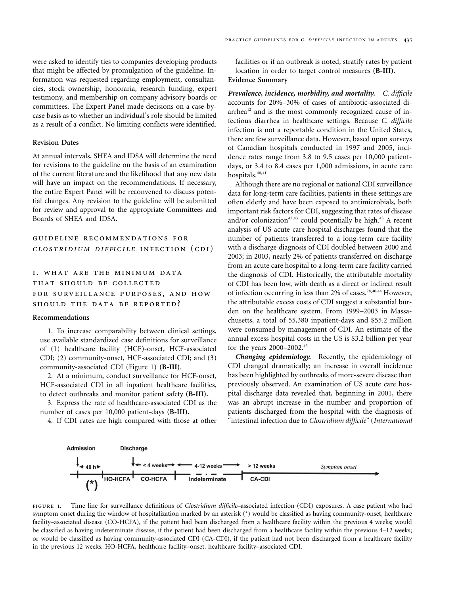were asked to identify ties to companies developing products that might be affected by promulgation of the guideline. Information was requested regarding employment, consultancies, stock ownership, honoraria, research funding, expert testimony, and membership on company advisory boards or committees. The Expert Panel made decisions on a case-bycase basis as to whether an individual's role should be limited as a result of a conflict. No limiting conflicts were identified.

#### **Revision Dates**

At annual intervals, SHEA and IDSA will determine the need for revisions to the guideline on the basis of an examination of the current literature and the likelihood that any new data will have an impact on the recommendations. If necessary, the entire Expert Panel will be reconvened to discuss potential changes. Any revision to the guideline will be submitted for review and approval to the appropriate Committees and Boards of SHEA and IDSA.

# guideline recommendations for *clostridium difficile* infection (cdi)

# i. what are the minimum data that should be collected for surveillance purposes, and how should the data be reported?

#### **Recommendations**

1. To increase comparability between clinical settings, use available standardized case definitions for surveillance of (1) healthcare facility (HCF)-onset, HCF-associated CDI; (2) community-onset, HCF-associated CDI; and (3) community-associated CDI (Figure 1) **(B-III)**.

2. At a minimum, conduct surveillance for HCF-onset, HCF-associated CDI in all inpatient healthcare facilities, to detect outbreaks and monitor patient safety **(B-III).** 

3. Express the rate of healthcare-associated CDI as the number of cases per 10,000 patient-days **(B-III).** 

4. If CDI rates are high compared with those at other

facilities or if an outbreak is noted, stratify rates by patient location in order to target control measures **(B-III). Evidence Summary** 

*Prevalence, incidence, morbidity, and mortality. C. difficile*  accounts for 20%–30% of cases of antibiotic-associated diarrhea $12$  and is the most commonly recognized cause of infectious diarrhea in healthcare settings. Because *C. difficile*  infection is not a reportable condition in the United States, there are few surveillance data. However, based upon surveys of Canadian hospitals conducted in 1997 and 2005, incidence rates range from 3.8 to 9.5 cases per 10,000 patientdays, or 3.4 to 8.4 cases per 1,000 admissions, in acute care hospitals.<sup>40,41</sup>

Although there are no regional or national CDI surveillance data for long-term care facilities, patients in these settings are often elderly and have been exposed to antimicrobials, both important risk factors for CDI, suggesting that rates of disease and/or colonization<sup>42,43</sup> could potentially be high.<sup>43</sup> A recent analysis of US acute care hospital discharges found that the number of patients transferred to a long-term care facility with a discharge diagnosis of CDI doubled between 2000 and 2003; in 2003, nearly 2% of patients transferred on discharge from an acute care hospital to a long-term care facility carried the diagnosis of CDI. Historically, the attributable mortality of CDI has been low, with death as a direct or indirect result of infection occurring in less than 2% of cases.<sup>28,40,44</sup> However, the attributable excess costs of CDI suggest a substantial burden on the healthcare system. From 1999–2003 in Massachusetts, a total of 55,380 inpatient-days and \$55.2 million were consumed by management of CDI. An estimate of the annual excess hospital costs in the US is \$3.2 billion per year for the years 2000–2002.45

*Changing epidemiology.* Recently, the epidemiology of CDI changed dramatically; an increase in overall incidence has been highlighted by outbreaks of more-severe disease than previously observed. An examination of US acute care hospital discharge data revealed that, beginning in 2001, there was an abrupt increase in the number and proportion of patients discharged from the hospital with the diagnosis of "intestinal infection due to *Clostridium difficile*" (*International* 



figure 1. Time line for surveillance definitions of *Clostridium difficile*–associated infection (CDI) exposures. A case patient who had symptom onset during the window of hospitalization marked by an asterisk (\*) would be classified as having community-onset, healthcare facility–associated disease (CO-HCFA), if the patient had been discharged from a healthcare facility within the previous 4 weeks; would be classified as having indeterminate disease, if the patient had been discharged from a healthcare facility within the previous 4–12 weeks; or would be classified as having community-associated CDI (CA-CDI), if the patient had not been discharged from a healthcare facility in the previous 12 weeks. HO-HCFA, healthcare facility–onset, healthcare facility–associated CDI.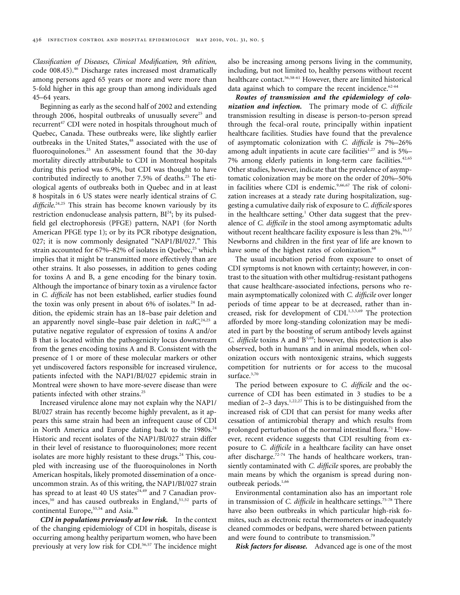*Classification of Diseases, Clinical Modification, 9th edition,*  code 008.45).<sup>46</sup> Discharge rates increased most dramatically among persons aged 65 years or more and were more than 5-fold higher in this age group than among individuals aged 45–64 years.

Beginning as early as the second half of 2002 and extending through 2006, hospital outbreaks of unusually severe<sup>25</sup> and recurrent<sup>47</sup> CDI were noted in hospitals throughout much of Quebec, Canada. These outbreaks were, like slightly earlier outbreaks in the United States,<sup>48</sup> associated with the use of fluoroquinolones.<sup>25</sup> An assessment found that the 30-day mortality directly attributable to CDI in Montreal hospitals during this period was 6.9%, but CDI was thought to have contributed indirectly to another 7.5% of deaths.<sup>25</sup> The etiological agents of outbreaks both in Quebec and in at least 8 hospitals in 6 US states were nearly identical strains of *C.* difficile.<sup>24,25</sup> This strain has become known variously by its restriction endonuclease analysis pattern, BI<sup>24</sup>; by its pulsedfield gel electrophoresis (PFGE) pattern, NAP1 (for North American PFGE type 1); or by its PCR ribotype designation, 027; it is now commonly designated "NAP1/BI/027." This strain accounted for  $67\% - 82\%$  of isolates in Quebec,<sup>25</sup> which implies that it might be transmitted more effectively than are other strains. It also possesses, in addition to genes coding for toxins A and B, a gene encoding for the binary toxin. Although the importance of binary toxin as a virulence factor in *C. difficile* has not been established, earlier studies found the toxin was only present in about  $6\%$  of isolates.<sup>24</sup> In addition, the epidemic strain has an 18–base pair deletion and an apparently novel single–base pair deletion in *tcdC*,<sup>24,25</sup> a putative negative regulator of expression of toxins A and/or B that is located within the pathogenicity locus downstream from the genes encoding toxins A and B. Consistent with the presence of 1 or more of these molecular markers or other yet undiscovered factors responsible for increased virulence, patients infected with the NAP1/BI/027 epidemic strain in Montreal were shown to have more-severe disease than were patients infected with other strains.25

Increased virulence alone may not explain why the NAP1/ BI/027 strain has recently become highly prevalent, as it appears this same strain had been an infrequent cause of CDI in North America and Europe dating back to the  $1980s.^{24}$ Historic and recent isolates of the NAP1/BI/027 strain differ in their level of resistance to fluoroquinolones; more recent isolates are more highly resistant to these drugs.<sup>24</sup> This, coupled with increasing use of the fluoroquinolones in North American hospitals, likely promoted dissemination of a onceuncommon strain. As of this writing, the NAP1/BI/027 strain has spread to at least 40 US states<sup>24,49</sup> and 7 Canadian provinces,<sup>50</sup> and has caused outbreaks in England,<sup>51,52</sup> parts of continental Europe,<sup>53,54</sup> and Asia.<sup>55</sup>

*CDI in populations previously at low risk.* In the context of the changing epidemiology of CDI in hospitals, disease is occurring among healthy peripartum women, who have been previously at very low risk for CDI.<sup>56,57</sup> The incidence might

also be increasing among persons living in the community, including, but not limited to, healthy persons without recent healthcare contact.56,58-61 However, there are limited historical data against which to compare the recent incidence. $62-64$ 

*Routes of transmission and the epidemiology of colonization and infection.* The primary mode of *C. difficile*  transmission resulting in disease is person-to-person spread through the fecal-oral route, principally within inpatient healthcare facilities. Studies have found that the prevalence of asymptomatic colonization with *C. difficile* is 7%–26% among adult inpatients in acute care facilities $1,27$  and is  $5%$ -7% among elderly patients in long-term care facilities.<sup>42,65</sup> Other studies, however, indicate that the prevalence of asymptomatic colonization may be more on the order of 20%–50% in facilities where CDI is endemic.<sup>9,66,67</sup> The risk of colonization increases at a steady rate during hospitalization, suggesting a cumulative daily risk of exposure to *C. difficile* spores in the healthcare setting.<sup>1</sup> Other data suggest that the prevalence of *C. difficile* in the stool among asymptomatic adults without recent healthcare facility exposure is less than  $2\%$ .<sup>16,[17](#page-19-0)</sup> Newborns and children in the first year of life are known to have some of the highest rates of colonization.<sup>68</sup>

The usual incubation period from exposure to onset of CDI symptoms is not known with certainty; however, in contrast to the situation with other multidrug-resistant pathogens that cause healthcare-associated infections, persons who remain asymptomatically colonized with *C. difficile* over longer periods of time appear to be at decreased, rather than in-creased, risk for development of CDI.<sup>1,[3,5](#page-19-0),69</sup> The protection afforded by more long-standing colonization may be mediated in part by the boosting of serum antibody levels against *C. difficile* toxins A and B5,69; however, this protection is also observed, both in humans and in animal models, when colonization occurs with nontoxigenic strains, which suggests competition for nutrients or for access to the mucosal surface.<sup>3,70</sup>

The period between exposure to *C. difficile* and the occurrence of CDI has been estimated in 3 studies to be a median of  $2-3$  days.<sup>1,22,27</sup> This is to be distinguished from the increased risk of CDI that can persist for many weeks after cessation of antimicrobial therapy and which results from prolonged perturbation of the normal intestinal flora.<sup>71</sup> However, recent evidence suggests that CDI resulting from exposure to *C. difficile* in a healthcare facility can have onset after discharge.<sup>72-74</sup> The hands of healthcare workers, transiently contaminated with *C. difficile* spores, are probably the main means by which the organism is spread during nonoutbreak periods.<sup>1,66</sup>

Environmental contamination also has an important role in transmission of *C. difficile* in healthcare settings.<sup>75-78</sup> There have also been outbreaks in which particular high-risk fomites, such as electronic rectal thermometers or inadequately cleaned commodes or bedpans, were shared between patients and were found to contribute to transmission.<sup>79</sup>

*Risk factors for disease.* Advanced age is one of the most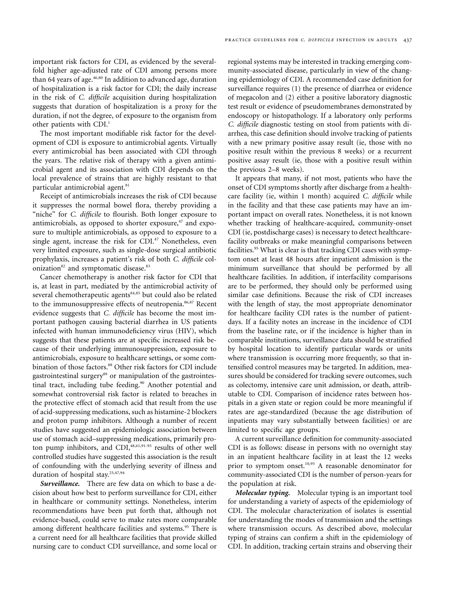important risk factors for CDI, as evidenced by the severalfold higher age-adjusted rate of CDI among persons more than 64 years of age.<sup>46,80</sup> In addition to advanced age, duration of hospitalization is a risk factor for CDI; the daily increase in the risk of *C. difficile* acquisition during hospitalization suggests that duration of hospitalization is a proxy for the duration, if not the degree, of exposure to the organism from other patients with CDI.<sup>1</sup>

The most important modifiable risk factor for the development of CDI is exposure to antimicrobial agents. Virtually every antimicrobial has been associated with CDI through the years. The relative risk of therapy with a given antimicrobial agent and its association with CDI depends on the local prevalence of strains that are highly resistant to that particular antimicrobial agent.<sup>81</sup>

Receipt of antimicrobials increases the risk of CDI because it suppresses the normal bowel flora, thereby providing a "niche" for *C. difficile* to flourish. Both longer exposure to antimicrobials, as opposed to shorter exposure,<sup>47</sup> and exposure to multiple antimicrobials, as opposed to exposure to a single agent, increase the risk for CDI.<sup>47</sup> Nonetheless, even very limited exposure, such as single-dose surgical antibiotic prophylaxis, increases a patient's risk of both *C. difficile* colonization<sup>82</sup> and symptomatic disease.<sup>83</sup>

Cancer chemotherapy is another risk factor for CDI that is, at least in part, mediated by the antimicrobial activity of several chemotherapeutic agents<sup>84,85</sup> but could also be related to the immunosuppressive effects of neutropenia.<sup>86,87</sup> Recent evidence suggests that *C. difficile* has become the most important pathogen causing bacterial diarrhea in US patients infected with human immunodeficiency virus (HIV), which suggests that these patients are at specific increased risk because of their underlying immunosuppression, exposure to antimicrobials, exposure to healthcare settings, or some combination of those factors.<sup>88</sup> Other risk factors for CDI include gastrointestinal surgery<sup>89</sup> or manipulation of the gastrointestinal tract, including tube feeding.<sup>90</sup> Another potential and somewhat controversial risk factor is related to breaches in the protective effect of stomach acid that result from the use of acid-suppressing medications, such as histamine-2 blockers and proton pump inhibitors. Although a number of recent studies have suggested an epidemiologic association between use of stomach acid–suppressing medications, primarily proton pump inhibitors, and  $CDI<sub>48,61,91-93</sub>$  results of other well controlled studies have suggested this association is the result of confounding with the underlying severity of illness and duration of hospital stay.<sup>25,47,94</sup>

*Surveillance.* There are few data on which to base a decision about how best to perform surveillance for CDI, either in healthcare or community settings. Nonetheless, interim recommendations have been put forth that, although not evidence-based, could serve to make rates more comparable among different healthcare facilities and systems.<sup>95</sup> There is a current need for all healthcare facilities that provide skilled nursing care to conduct CDI surveillance, and some local or

regional systems may be interested in tracking emerging community-associated disease, particularly in view of the changing epidemiology of CDI. A recommended case definition for surveillance requires (1) the presence of diarrhea or evidence of megacolon and (2) either a positive laboratory diagnostic test result or evidence of pseudomembranes demonstrated by endoscopy or histopathology. If a laboratory only performs *C. difficile* diagnostic testing on stool from patients with diarrhea, this case definition should involve tracking of patients with a new primary positive assay result (ie, those with no positive result within the previous 8 weeks) or a recurrent positive assay result (ie, those with a positive result within the previous 2–8 weeks).

It appears that many, if not most, patients who have the onset of CDI symptoms shortly after discharge from a healthcare facility (ie, within 1 month) acquired *C. difficile* while in the facility and that these case patients may have an important impact on overall rates. Nonetheless, it is not known whether tracking of healthcare-acquired, community-onset CDI (ie, postdischarge cases) is necessary to detect healthcarefacility outbreaks or make meaningful comparisons between facilities.<sup>95</sup> What is clear is that tracking CDI cases with symptom onset at least 48 hours after inpatient admission is the minimum surveillance that should be performed by all healthcare facilities. In addition, if interfacility comparisons are to be performed, they should only be performed using similar case definitions. Because the risk of CDI increases with the length of stay, the most appropriate denominator for healthcare facility CDI rates is the number of patientdays. If a facility notes an increase in the incidence of CDI from the baseline rate, or if the incidence is higher than in comparable institutions, surveillance data should be stratified by hospital location to identify particular wards or units where transmission is occurring more frequently, so that intensified control measures may be targeted. In addition, measures should be considered for tracking severe outcomes, such as colectomy, intensive care unit admission, or death, attributable to CDI. Comparison of incidence rates between hospitals in a given state or region could be more meaningful if rates are age-standardized (because the age distribution of inpatients may vary substantially between facilities) or are limited to specific age groups.

A current surveillance definition for community-associated CDI is as follows: disease in persons with no overnight stay in an inpatient healthcare facility in at least the 12 weeks prior to symptom onset.<sup>10,95</sup> A reasonable denominator for community-associated CDI is the number of person-years for the population at risk.

*Molecular typing.* Molecular typing is an important tool for understanding a variety of aspects of the epidemiology of CDI. The molecular characterization of isolates is essential for understanding the modes of transmission and the settings where transmission occurs. As described above, molecular typing of strains can confirm a shift in the epidemiology of CDI. In addition, tracking certain strains and observing their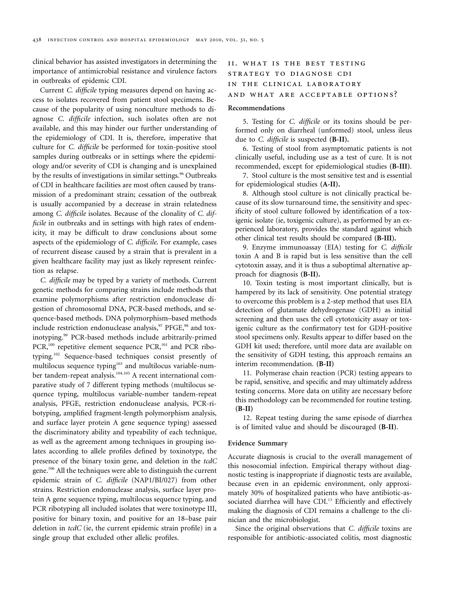clinical behavior has assisted investigators in determining the importance of antimicrobial resistance and virulence factors in outbreaks of epidemic CDI.

Current *C. difficile* typing measures depend on having access to isolates recovered from patient stool specimens. Because of the popularity of using nonculture methods to diagnose *C. difficile* infection, such isolates often are not available, and this may hinder our further understanding of the epidemiology of CDI. It is, therefore, imperative that culture for *C. difficile* be performed for toxin-positive stool samples during outbreaks or in settings where the epidemiology and/or severity of CDI is changing and is unexplained by the results of investigations in similar settings.<sup>96</sup> Outbreaks of CDI in healthcare facilities are most often caused by transmission of a predominant strain; cessation of the outbreak is usually accompanied by a decrease in strain relatedness among *C. difficile* isolates. Because of the clonality of *C. difficile* in outbreaks and in settings with high rates of endemicity, it may be difficult to draw conclusions about some aspects of the epidemiology of *C. difficile*. For example, cases of recurrent disease caused by a strain that is prevalent in a given healthcare facility may just as likely represent reinfection as relapse.

*C. difficile* may be typed by a variety of methods. Current genetic methods for comparing strains include methods that examine polymorphisms after restriction endonuclease digestion of chromosomal DNA, PCR-based methods, and sequence-based methods. DNA polymorphism–based methods include restriction endonuclease analysis, $97$  PFGE, $98$  and toxinotyping.99 PCR-based methods include arbitrarily-primed PCR,<sup>100</sup> repetitive element sequence PCR,<sup>101</sup> and PCR ribotyping.102 Sequence-based techniques consist presently of multilocus sequence typing<sup>103</sup> and multilocus variable-number tandem-repeat analysis.<sup>104,105</sup> A recent international comparative study of 7 different typing methods (multilocus sequence typing, multilocus variable-number tandem-repeat analysis, PFGE, restriction endonuclease analysis, PCR-ribotyping, amplified fragment-length polymorphism analysis, and surface layer protein A gene sequence typing) assessed the discriminatory ability and typeability of each technique, as well as the agreement among techniques in grouping isolates according to allele profiles defined by toxinotype, the presence of the binary toxin gene, and deletion in the *tcdC*  gene.106 All the techniques were able to distinguish the current epidemic strain of *C. difficile* (NAP1/BI/027) from other strains. Restriction endonuclease analysis, surface layer protein A gene sequence typing, multilocus sequence typing, and PCR ribotyping all included isolates that were toxinotype III, positive for binary toxin, and positive for an 18–base pair deletion in *tcdC* (ie, the current epidemic strain profile) in a single group that excluded other allelic profiles.

# ii. what is the best testing strategy to diagnose cdi in the clinical laboratory and what are acceptable options?

#### **Recommendations**

5. Testing for *C. difficile* or its toxins should be performed only on diarrheal (unformed) stool, unless ileus due to *C. difficile* is suspected **(B-II).** 

6. Testing of stool from asymptomatic patients is not clinically useful, including use as a test of cure. It is not recommended, except for epidemiological studies **(B-III)**.

7. Stool culture is the most sensitive test and is essential for epidemiological studies **(A-II).** 

8. Although stool culture is not clinically practical because of its slow turnaround time, the sensitivity and specificity of stool culture followed by identification of a toxigenic isolate (ie, toxigenic culture), as performed by an experienced laboratory, provides the standard against which other clinical test results should be compared **(B-III).** 

9. Enzyme immunoassay (EIA) testing for *C. difficile*  toxin A and B is rapid but is less sensitive than the cell cytotoxin assay, and it is thus a suboptimal alternative approach for diagnosis **(B-II).** 

10. Toxin testing is most important clinically, but is hampered by its lack of sensitivity. One potential strategy to overcome this problem is a 2-step method that uses EIA detection of glutamate dehydrogenase (GDH) as initial screening and then uses the cell cytotoxicity assay or toxigenic culture as the confirmatory test for GDH-positive stool specimens only. Results appear to differ based on the GDH kit used; therefore, until more data are available on the sensitivity of GDH testing, this approach remains an interim recommendation. **(B-II)** 

11. Polymerase chain reaction (PCR) testing appears to be rapid, sensitive, and specific and may ultimately address testing concerns. More data on utility are necessary before this methodology can be recommended for routine testing. **(B-II)** 

12. Repeat testing during the same episode of diarrhea is of limited value and should be discouraged **(B-II)**.

#### **Evidence Summary**

Accurate diagnosis is crucial to the overall management of this nosocomial infection. Empirical therapy without diagnostic testing is inappropriate if diagnostic tests are available, because even in an epidemic environment, only approximately 30% of hospitalized patients who have antibiotic-associated diarrhea will have CDI.<sup>13</sup> Efficiently and effectively making the diagnosis of CDI remains a challenge to the clinician and the microbiologist.

Since the original observations that *C. difficile* toxins are responsible for antibiotic-associated colitis, most diagnostic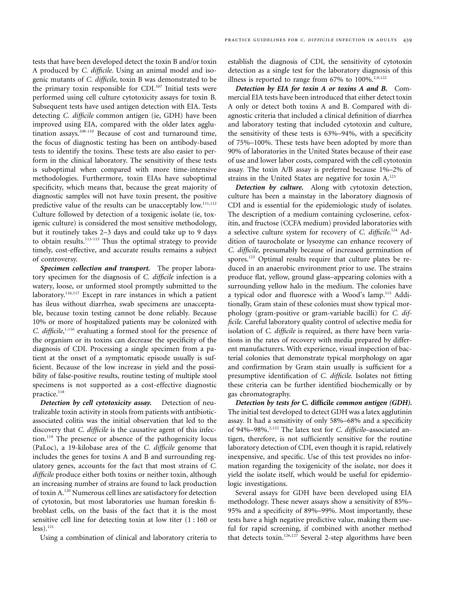tests that have been developed detect the toxin B and/or toxin A produced by *C. difficile.* Using an animal model and isogenic mutants of *C. difficile,* toxin B was demonstrated to be the primary toxin responsible for CDI.<sup>107</sup> Initial tests were performed using cell culture cytotoxicity assays for toxin B. Subsequent tests have used antigen detection with EIA. Tests detecting *C. difficile* common antigen (ie, GDH) have been improved using EIA, compared with the older latex agglutination assays.<sup>108-110</sup> Because of cost and turnaround time, the focus of diagnostic testing has been on antibody-based tests to identify the toxins. These tests are also easier to perform in the clinical laboratory. The sensitivity of these tests is suboptimal when compared with more time-intensive methodologies. Furthermore, toxin EIAs have suboptimal specificity, which means that, because the great majority of diagnostic samples will not have toxin present, the positive predictive value of the results can be unacceptably low.<sup>111,112</sup> Culture followed by detection of a toxigenic isolate (ie, toxigenic culture) is considered the most sensitive methodology, but it routinely takes 2–3 days and could take up to 9 days to obtain results.<sup>113-115</sup> Thus the optimal strategy to provide timely, cost-effective, and accurate results remains a subject of controversy.

*Specimen collection and transport.* The proper laboratory specimen for the diagnosis of *C. difficile* infection is a watery, loose, or unformed stool promptly submitted to the laboratory.<sup>116,117</sup> Except in rare instances in which a patient has ileus without diarrhea, swab specimens are unacceptable, because toxin testing cannot be done reliably. Because 10% or more of hospitalized patients may be colonized with *C. difficile*,<sup>[1,](#page-19-0)116</sup> evaluating a formed stool for the presence of the organism or its toxins can decrease the specificity of the diagnosis of CDI. Processing a single specimen from a patient at the onset of a symptomatic episode usually is sufficient. Because of the low increase in yield and the possibility of false-positive results, routine testing of multiple stool specimens is not supported as a cost-effective diagnostic practice.<sup>118</sup>

*Detection by cell cytotoxicity assay.* Detection of neutralizable toxin activity in stools from patients with antibioticassociated colitis was the initial observation that led to the discovery that *C. difficile* is the causative agent of this infection.119 The presence or absence of the pathogenicity locus (PaLoc), a 19-kilobase area of the *C. difficile* genome that includes the genes for toxins A and B and surrounding regulatory genes, accounts for the fact that most strains of *C. difficile* produce either both toxins or neither toxin, although an increasing number of strains are found to lack production of toxin A.120 Numerous cell lines are satisfactory for detection of cytotoxin, but most laboratories use human foreskin fibroblast cells, on the basis of the fact that it is the most sensitive cell line for detecting toxin at low titer (1 : 160 or  $less).$ <sup>121</sup>

Using a combination of clinical and laboratory criteria to

establish the diagnosis of CDI, the sensitivity of cytotoxin detection as a single test for the laboratory diagnosis of this illness is reported to range from  $67\%$  to  $100\%$ .<sup>2,[9,](#page-19-0)122</sup>

*Detection by EIA for toxin A or toxins A and B.* Commercial EIA tests have been introduced that either detect toxin A only or detect both toxins A and B. Compared with diagnostic criteria that included a clinical definition of diarrhea and laboratory testing that included cytotoxin and culture, the sensitivity of these tests is 63%–94%, with a specificity of 75%–100%. These tests have been adopted by more than 90% of laboratories in the United States because of their ease of use and lower labor costs, compared with the cell cytotoxin assay. The toxin A/B assay is preferred because 1%–2% of strains in the United States are negative for toxin A.<sup>123</sup>

*Detection by culture.* Along with cytotoxin detection, culture has been a mainstay in the laboratory diagnosis of CDI and is essential for the epidemiologic study of isolates. The description of a medium containing cycloserine, cefoxitin, and fructose (CCFA medium) provided laboratories with a selective culture system for recovery of *C. difficile*. 124 Addition of taurocholate or lysozyme can enhance recovery of *C. difficile,* presumably because of increased germination of spores.<sup>125</sup> Optimal results require that culture plates be reduced in an anaerobic environment prior to use. The strains produce flat, yellow, ground glass–appearing colonies with a surrounding yellow halo in the medium. The colonies have a typical odor and fluoresce with a Wood's lamp.115 Additionally, Gram stain of these colonies must show typical morphology (gram-positive or gram-variable bacilli) for *C. difficile.* Careful laboratory quality control of selective media for isolation of *C. difficile* is required, as there have been variations in the rates of recovery with media prepared by different manufacturers. With experience, visual inspection of bacterial colonies that demonstrate typical morphology on agar and confirmation by Gram stain usually is sufficient for a presumptive identification of *C. difficile*. Isolates not fitting these criteria can be further identified biochemically or by gas chromatography.

*Detection by tests for* **C. difficile** *common antigen (GDH).*  The initial test developed to detect GDH was a latex agglutinin assay. It had a sensitivity of only 58%–68% and a specificity of [94%–98%.2](#page-19-0),122 The latex test for *C. difficile*–associated antigen, therefore, is not sufficiently sensitive for the routine laboratory detection of CDI, even though it is rapid, relatively inexpensive, and specific. Use of this test provides no information regarding the toxigenicity of the isolate, nor does it yield the isolate itself, which would be useful for epidemiologic investigations.

Several assays for GDH have been developed using EIA methodology. These newer assays show a sensitivity of 85%– 95% and a specificity of 89%–99%. Most importantly, these tests have a high negative predictive value, making them useful for rapid screening, if combined with another method that detects toxin.<sup>126,127</sup> Several 2-step algorithms have been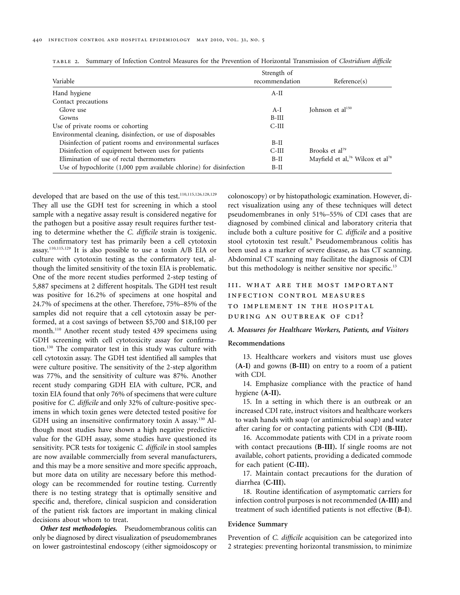| Variable                                                              | Strength of<br>recommendation | Reference(s)                                             |
|-----------------------------------------------------------------------|-------------------------------|----------------------------------------------------------|
| Hand hygiene                                                          | $A-II$                        |                                                          |
| Contact precautions                                                   |                               |                                                          |
| Glove use                                                             | $A-I$                         | Iohnson et al $150$                                      |
| Gowns                                                                 | $B-III$                       |                                                          |
| Use of private rooms or cohorting                                     | C-III                         |                                                          |
| Environmental cleaning, disinfection, or use of disposables           |                               |                                                          |
| Disinfection of patient rooms and environmental surfaces              | $B-II$                        |                                                          |
| Disinfection of equipment between uses for patients                   | C-III                         | Brooks et al <sup>79</sup>                               |
| Elimination of use of rectal thermometers                             | $B-II$                        | Mayfield et al, <sup>76</sup> Wilcox et al <sup>78</sup> |
| Use of hypochlorite $(1,000$ ppm available chlorine) for disinfection | $B-II$                        |                                                          |

table 2. Summary of Infection Control Measures for the Prevention of Horizontal Transmission of *Clostridium difficile* 

developed that are based on the use of this test.<sup>110,115,126,128,129</sup> They all use the GDH test for screening in which a stool sample with a negative assay result is considered negative for the pathogen but a positive assay result requires further testing to determine whether the *C. difficile* strain is toxigenic. The confirmatory test has primarily been a cell cytotoxin assay.<sup>110,115,129</sup> It is also possible to use a toxin A/B EIA or culture with cytotoxin testing as the confirmatory test, although the limited sensitivity of the toxin EIA is problematic. One of the more recent studies performed 2-step testing of 5,887 specimens at 2 different hospitals. The GDH test result was positive for 16.2% of specimens at one hospital and 24.7% of specimens at the other. Therefore, 75%–85% of the samples did not require that a cell cytotoxin assay be performed, at a cost savings of between \$5,700 and \$18,100 per month.<sup>110</sup> Another recent study tested 439 specimens using GDH screening with cell cytotoxicity assay for confirmation.130 The comparator test in this study was culture with cell cytotoxin assay. The GDH test identified all samples that were culture positive. The sensitivity of the 2-step algorithm was 77%, and the sensitivity of culture was 87%. Another recent study comparing GDH EIA with culture, PCR, and toxin EIA found that only 76% of specimens that were culture positive for *C. difficile* and only 32% of culture-positive specimens in which toxin genes were detected tested positive for GDH using an insensitive confirmatory toxin A assay.<sup>130</sup> Although most studies have shown a high negative predictive value for the GDH assay, some studies have questioned its sensitivity. PCR tests for toxigenic *C. difficile* in stool samples are now available commercially from several manufacturers, and this may be a more sensitive and more specific approach, but more data on utility are necessary before this methodology can be recommended for routine testing. Currently there is no testing strategy that is optimally sensitive and specific and, therefore, clinical suspicion and consideration of the patient risk factors are important in making clinical decisions about whom to treat.

*Other test methodologies.* Pseudomembranous colitis can only be diagnosed by direct visualization of pseudomembranes on lower gastrointestinal endoscopy (either sigmoidoscopy or

colonoscopy) or by histopathologic examination. However, direct visualization using any of these techniques will detect pseudomembranes in only 51%–55% of CDI cases that are diagnosed by combined clinical and laboratory criteria that include both a culture positive for *C. difficile* and a positive stool cytotoxin test result.<sup>9</sup> Pseudomembranous colitis has been used as a marker of severe disease, as has CT scanning. Abdominal CT scanning may facilitate the diagnosis of CDI but this methodology is neither sensitive nor specific.<sup>13</sup>

# iii. what are the most important infection control measures to implement in the hospital during an outbreak of cdi?

### *A. Measures for Healthcare Workers, Patients, and Visitors*

#### **Recommendations**

13. Healthcare workers and visitors must use gloves **(A-I)** and gowns **(B-III)** on entry to a room of a patient with CDI.

14. Emphasize compliance with the practice of hand hygiene **(A-II).** 

15. In a setting in which there is an outbreak or an increased CDI rate, instruct visitors and healthcare workers to wash hands with soap (or antimicrobial soap) and water after caring for or contacting patients with CDI **(B-III).** 

16. Accommodate patients with CDI in a private room with contact precautions **(B-III).** If single rooms are not available, cohort patients, providing a dedicated commode for each patient **(C-III).** 

17. Maintain contact precautions for the duration of diarrhea **(C-III).** 

18. Routine identification of asymptomatic carriers for infection control purposes is not recommended **(A-III)** and treatment of such identified patients is not effective (**B-I**).

# **Evidence Summary**

Prevention of *C. difficile* acquisition can be categorized into 2 strategies: preventing horizontal transmission, to minimize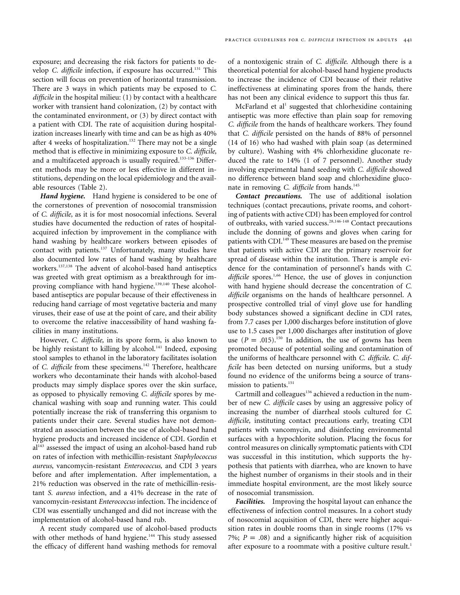exposure; and decreasing the risk factors for patients to develop *C. difficile* infection, if exposure has occurred.<sup>131</sup> This section will focus on prevention of horizontal transmission. There are 3 ways in which patients may be exposed to *C. difficile* in the hospital milieu: (1) by contact with a healthcare worker with transient hand colonization, (2) by contact with the contaminated environment, or (3) by direct contact with a patient with CDI. The rate of acquisition during hospitalization increases linearly with time and can be as high as 40% after 4 weeks of hospitalization.<sup>132</sup> There may not be a single method that is effective in minimizing exposure to *C. difficile,*  and a multifaceted approach is usually required.<sup>133-136</sup> Different methods may be more or less effective in different institutions, depending on the local epidemiology and the available resources (Table 2).

*Hand hygiene.* Hand hygiene is considered to be one of the cornerstones of prevention of nosocomial transmission of *C. difficile,* as it is for most nosocomial infections. Several studies have documented the reduction of rates of hospitalacquired infection by improvement in the compliance with hand washing by healthcare workers between episodes of contact with patients.<sup>137</sup> Unfortunately, many studies have also documented low rates of hand washing by healthcare workers.137,138 The advent of alcohol-based hand antiseptics was greeted with great optimism as a breakthrough for improving compliance with hand hygiene.<sup>139,140</sup> These alcoholbased antiseptics are popular because of their effectiveness in reducing hand carriage of most vegetative bacteria and many viruses, their ease of use at the point of care, and their ability to overcome the relative inaccessibility of hand washing facilities in many institutions.

However, *C. difficile,* in its spore form, is also known to be highly resistant to killing by alcohol.<sup>141</sup> Indeed, exposing stool samples to ethanol in the laboratory facilitates isolation of *C. difficile* from these specimens.<sup>142</sup> Therefore, healthcare workers who decontaminate their hands with alcohol-based products may simply displace spores over the skin surface, as opposed to physically removing *C. difficile* spores by mechanical washing with soap and running water. This could potentially increase the risk of transferring this organism to patients under their care. Several studies have not demonstrated an association between the use of alcohol-based hand hygiene products and increased incidence of CDI. Gordin et  $al<sup>143</sup>$  assessed the impact of using an alcohol-based hand rub on rates of infection with methicillin-resistant *Staphylococcus aureus*, vancomycin-resistant *Enterococcus,* and CDI 3 years before and after implementation. After implementation, a 21% reduction was observed in the rate of methicillin-resistant *S. aureus* infection, and a 41% decrease in the rate of vancomycin-resistant *Enterococcus* infection. The incidence of CDI was essentially unchanged and did not increase with the implementation of alcohol-based hand rub.

A recent study compared use of alcohol-based products with other methods of hand hygiene.<sup>144</sup> This study assessed the efficacy of different hand washing methods for removal

of a nontoxigenic strain of *C. difficile*. Although there is a theoretical potential for alcohol-based hand hygiene products to increase the incidence of CDI because of their relative ineffectiveness at eliminating spores from the hands, there has not been any clinical evidence to support this thus far.

McFarland et al<sup>1</sup> suggested that chlorhexidine containing antiseptic was more effective than plain soap for removing *C. difficile* from the hands of healthcare workers. They found that *C. difficile* persisted on the hands of 88% of personnel (14 of 16) who had washed with plain soap (as determined by culture). Washing with 4% chlorhexidine gluconate reduced the rate to 14% (1 of 7 personnel). Another study involving experimental hand seeding with *C. difficile* showed no difference between bland soap and chlorhexidine gluconate in removing *C. difficile* from hands.<sup>145</sup>

*Contact precautions.* The use of additional isolation techniques (contact precautions, private rooms, and cohorting of patients with active CDI) has been employed for control of outbreaks, with varied [success.](#page-19-0)28,146-148 Contact precautions include the donning of gowns and gloves when caring for patients with CDI.<sup>149</sup> These measures are based on the premise that patients with active CDI are the primary reservoir for spread of disease within the institution. There is ample evidence for the contamination of personnel's hands with *C.*  difficile spores.<sup>1,66</sup> Hence, the use of gloves in conjunction with hand hygiene should decrease the concentration of *C. difficile* organisms on the hands of healthcare personnel. A prospective controlled trial of vinyl glove use for handling body substances showed a significant decline in CDI rates, from 7.7 cases per 1,000 discharges before institution of glove use to 1.5 cases per 1,000 discharges after institution of glove use  $(P = .015)$ .<sup>150</sup> In addition, the use of gowns has been promoted because of potential soiling and contamination of the uniforms of healthcare personnel with *C. difficile*. *C. difficile* has been detected on nursing uniforms, but a study found no evidence of the uniforms being a source of transmission to patients.<sup>151</sup>

Cartmill and colleagues<sup>136</sup> achieved a reduction in the number of new *C. difficile* cases by using an aggressive policy of increasing the number of diarrheal stools cultured for *C. difficile,* instituting contact precautions early, treating CDI patients with vancomycin, and disinfecting environmental surfaces with a hypochlorite solution. Placing the focus for control measures on clinically symptomatic patients with CDI was successful in this institution, which supports the hypothesis that patients with diarrhea, who are known to have the highest number of organisms in their stools and in their immediate hospital environment, are the most likely source of nosocomial transmission.

*Facilities.* Improving the hospital layout can enhance the effectiveness of infection control measures. In a cohort study of nosocomial acquisition of CDI, there were higher acquisition rates in double rooms than in single rooms (17% vs 7%;  $P = .08$ ) and a significantly higher risk of acquisition after exposure to a roommate with a positive culture result.<sup>1</sup>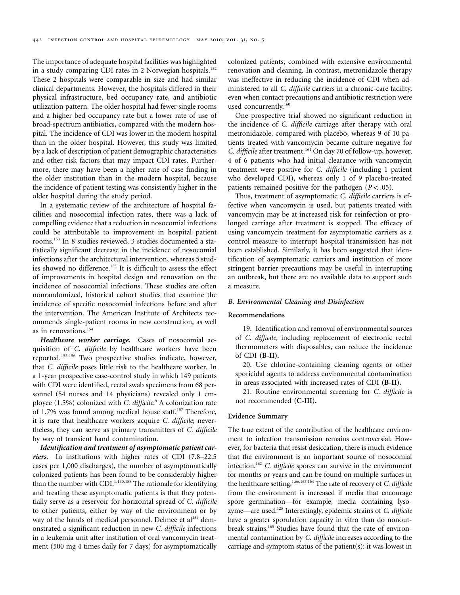The importance of adequate hospital facilities was highlighted in a study comparing CDI rates in 2 Norwegian hospitals.<sup>152</sup> These 2 hospitals were comparable in size and had similar clinical departments. However, the hospitals differed in their physical infrastructure, bed occupancy rate, and antibiotic utilization pattern. The older hospital had fewer single rooms and a higher bed occupancy rate but a lower rate of use of broad-spectrum antibiotics, compared with the modern hospital. The incidence of CDI was lower in the modern hospital than in the older hospital. However, this study was limited by a lack of description of patient demographic characteristics and other risk factors that may impact CDI rates. Furthermore, there may have been a higher rate of case finding in the older institution than in the modern hospital, because the incidence of patient testing was consistently higher in the older hospital during the study period.

In a systematic review of the architecture of hospital facilities and nosocomial infection rates, there was a lack of compelling evidence that a reduction in nosocomial infections could be attributable to improvement in hospital patient rooms.153 In 8 studies reviewed, 3 studies documented a statistically significant decrease in the incidence of nosocomial infections after the architectural intervention, whereas 5 studies showed no difference.<sup>153</sup> It is difficult to assess the effect of improvements in hospital design and renovation on the incidence of nosocomial infections. These studies are often nonrandomized, historical cohort studies that examine the incidence of specific nosocomial infections before and after the intervention. The American Institute of Architects recommends single-patient rooms in new construction, as well as in renovations.<sup>154</sup>

*Healthcare worker carriage.* Cases of nosocomial acquisition of *C. difficile* by healthcare workers have been reported.155,156 Two prospective studies indicate, however, that *C. difficile* poses little risk to the healthcare worker. In a 1-year prospective case-control study in which 149 patients with CDI were identified, rectal swab specimens from 68 personnel (54 nurses and 14 physicians) revealed only 1 employee (1.5%) colonized with *C. [difficile](#page-19-0)*. 9 A colonization rate of 1.7% was found among medical house staff.157 Therefore, it is rare that healthcare workers acquire *C. difficile*; nevertheless, they can serve as primary transmitters of *C. difficile*  by way of transient hand contamination.

*Identification and treatment of asymptomatic patient carriers.* In institutions with higher rates of CDI (7.8–22.5 cases per 1,000 discharges), the number of asymptomatically colonized patients has been found to be considerably higher than the number with CDI.<sup>1,150,158</sup> The rationale for identifying and treating these asymptomatic patients is that they potentially serve as a reservoir for horizontal spread of *C. difficile*  to other patients, either by way of the environment or by way of the hands of medical personnel. Delmee et al<sup>159</sup> demonstrated a significant reduction in new *C. difficile* infections in a leukemia unit after institution of oral vancomycin treatment (500 mg 4 times daily for 7 days) for asymptomatically colonized patients, combined with extensive environmental renovation and cleaning. In contrast, metronidazole therapy was ineffective in reducing the incidence of CDI when administered to all *C. difficile* carriers in a chronic-care facility, even when contact precautions and antibiotic restriction were used concurrently.<sup>160</sup>

One prospective trial showed no significant reduction in the incidence of *C. difficile* carriage after therapy with oral metronidazole, compared with placebo, whereas 9 of 10 patients treated with vancomycin became culture negative for *C. difficile* after treatment.161 On day 70 of follow-up, however, 4 of 6 patients who had initial clearance with vancomycin treatment were positive for *C. difficile* (including 1 patient who developed CDI), whereas only 1 of 9 placebo-treated patients remained positive for the pathogen  $(P < .05)$ .

Thus, treatment of asymptomatic *C. difficile* carriers is effective when vancomycin is used, but patients treated with vancomycin may be at increased risk for reinfection or prolonged carriage after treatment is stopped. The efficacy of using vancomycin treatment for asymptomatic carriers as a control measure to interrupt hospital transmission has not been established. Similarly, it has been suggested that identification of asymptomatic carriers and institution of more stringent barrier precautions may be useful in interrupting an outbreak, but there are no available data to support such a measure.

### *B. Environmental Cleaning and Disinfection*

#### **Recommendations**

19. Identification and removal of environmental sources of *C. difficile,* including replacement of electronic rectal thermometers with disposables, can reduce the incidence of CDI **(B-II).** 

20. Use chlorine-containing cleaning agents or other sporicidal agents to address environmental contamination in areas associated with increased rates of CDI **(B-II).** 

21. Routine environmental screening for *C. difficile* is not recommended **(C-III).** 

## **Evidence Summary**

The true extent of the contribution of the healthcare environment to infection transmission remains controversial. However, for bacteria that resist desiccation, there is much evidence that the environment is an important source of nosocomial infection.162 *C. difficile* spores can survive in the environment for months or years and can be found on multiple surfaces in the healthcare setting.<sup>1,66,163,164</sup> The rate of recovery of *C. difficile* from the environment is increased if media that encourage spore germination—for example, media containing lysozyme—are used.125 Interestingly, epidemic strains of *C. difficile*  have a greater sporulation capacity in vitro than do nonoutbreak strains.<sup>165</sup> Studies have found that the rate of environmental contamination by *C. difficile* increases according to the carriage and symptom status of the patient(s): it was lowest in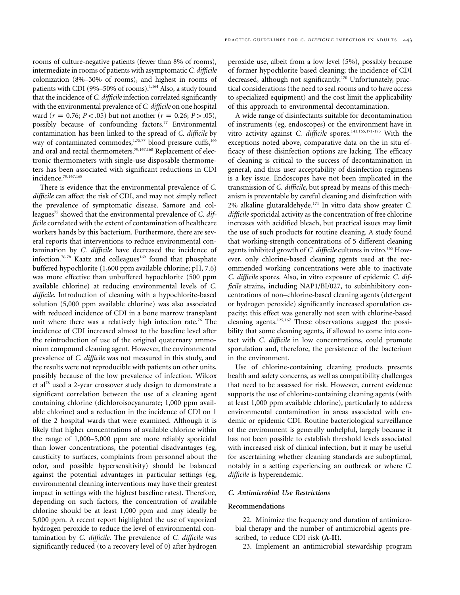rooms of culture-negative patients (fewer than 8% of rooms), intermediate in rooms of patients with asymptomatic *C. difficile*  colonization (8%–30% of rooms), and highest in rooms of patients with CDI (9%–50% of rooms).<sup>1,164</sup> Also, a study found that the incidence of *C. difficile* infection correlated significantly with the environmental prevalence of *C. difficile* on one hospital ward ( $r = 0.76$ ;  $P < .05$ ) but not another ( $r = 0.26$ ;  $P > .05$ ), possibly because of confounding factors.<sup>77</sup> Environmental contamination has been linked to the spread of *C. difficile* by way of contaminated commodes,<sup>[1,](#page-19-0)75,77</sup> blood pressure cuffs,<sup>166</sup> and oral and rectal thermometers.<sup>79,167,168</sup> Replacement of electronic thermometers with single-use disposable thermometers has been associated with significant reductions in CDI incidence.79,167,168

There is evidence that the environmental prevalence of *C. difficile* can affect the risk of CDI, and may not simply reflect the prevalence of symptomatic disease. Samore and colleagues<sup>75</sup> showed that the environmental prevalence of *C. difficile* correlated with the extent of contamination of healthcare workers hands by this bacterium. Furthermore, there are several reports that interventions to reduce environmental contamination by *C. difficile* have decreased the incidence of infection.<sup>76,78</sup> Kaatz and colleagues<sup>169</sup> found that phosphate buffered hypochlorite (1,600 ppm available chlorine; pH, 7.6) was more effective than unbuffered hypochlorite (500 ppm available chlorine) at reducing environmental levels of *C. difficile*. Introduction of cleaning with a hypochlorite-based solution (5,000 ppm available chlorine) was also associated with reduced incidence of CDI in a bone marrow transplant unit where there was a relatively high infection rate.<sup>76</sup> The incidence of CDI increased almost to the baseline level after the reintroduction of use of the original quaternary ammonium compound cleaning agent. However, the environmental prevalence of *C. difficile* was not measured in this study, and the results were not reproducible with patients on other units, possibly because of the low prevalence of infection. Wilcox et al<sup>78</sup> used a 2-year crossover study design to demonstrate a significant correlation between the use of a cleaning agent containing chlorine (dichloroisocyanurate; 1,000 ppm available chlorine) and a reduction in the incidence of CDI on 1 of the 2 hospital wards that were examined. Although it is likely that higher concentrations of available chlorine within the range of 1,000–5,000 ppm are more reliably sporicidal than lower concentrations, the potential disadvantages (eg, causticity to surfaces, complaints from personnel about the odor, and possible hypersensitivity) should be balanced against the potential advantages in particular settings (eg, environmental cleaning interventions may have their greatest impact in settings with the highest baseline rates). Therefore, depending on such factors, the concentration of available chlorine should be at least 1,000 ppm and may ideally be 5,000 ppm. A recent report highlighted the use of vaporized hydrogen peroxide to reduce the level of environmental contamination by *C. difficile*. The prevalence of *C. difficile* was significantly reduced (to a recovery level of 0) after hydrogen peroxide use, albeit from a low level (5%), possibly because of former hypochlorite based cleaning; the incidence of CDI decreased, although not significantly.<sup>170</sup> Unfortunately, practical considerations (the need to seal rooms and to have access to specialized equipment) and the cost limit the applicability of this approach to environmental decontamination.

A wide range of disinfectants suitable for decontamination of instruments (eg, endoscopes) or the environment have in vitro activity against *C. difficile* spores.<sup>141,165,171-173</sup> With the exceptions noted above, comparative data on the in situ efficacy of these disinfection options are lacking. The efficacy of cleaning is critical to the success of decontamination in general, and thus user acceptability of disinfection regimens is a key issue. Endoscopes have not been implicated in the transmission of *C. difficile,* but spread by means of this mechanism is preventable by careful cleaning and disinfection with 2% alkaline glutaraldehyde.171 In vitro data show greater *C. difficile* sporicidal activity as the concentration of free chlorine increases with acidified bleach, but practical issues may limit the use of such products for routine cleaning. A study found that working-strength concentrations of 5 different cleaning agents inhibited growth of *C. difficile* cultures in vitro.<sup>165</sup> However, only chlorine-based cleaning agents used at the recommended working concentrations were able to inactivate *C. difficile* spores. Also, in vitro exposure of epidemic *C. difficile* strains, including NAP1/BI/027, to subinhibitory concentrations of non–chlorine-based cleaning agents (detergent or hydrogen peroxide) significantly increased sporulation capacity; this effect was generally not seen with chlorine-based cleaning agents.125,167 These observations suggest the possibility that some cleaning agents, if allowed to come into contact with *C. difficile* in low concentrations, could promote sporulation and, therefore, the persistence of the bacterium in the environment.

Use of chlorine-containing cleaning products presents health and safety concerns, as well as compatibility challenges that need to be assessed for risk. However, current evidence supports the use of chlorine-containing cleaning agents (with at least 1,000 ppm available chlorine), particularly to address environmental contamination in areas associated with endemic or epidemic CDI. Routine bacteriological surveillance of the environment is generally unhelpful, largely because it has not been possible to establish threshold levels associated with increased risk of clinical infection, but it may be useful for ascertaining whether cleaning standards are suboptimal, notably in a setting experiencing an outbreak or where *C. difficile* is hyperendemic.

# *C. Antimicrobial Use Restrictions*

#### **Recommendations**

22. Minimize the frequency and duration of antimicrobial therapy and the number of antimicrobial agents prescribed, to reduce CDI risk **(A-II).** 

23. Implement an antimicrobial stewardship program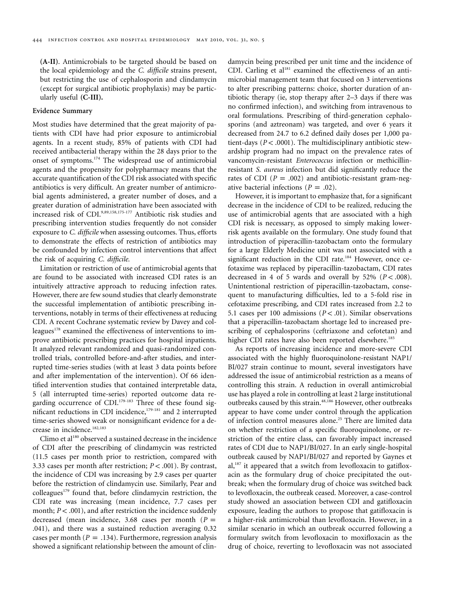**(A-II)**. Antimicrobials to be targeted should be based on the local epidemiology and the *C. difficile* strains present, but restricting the use of cephalosporin and clindamycin (except for surgical antibiotic prophylaxis) may be particularly useful **(C-III).** 

# **Evidence Summary**

Most studies have determined that the great majority of patients with CDI have had prior exposure to antimicrobial agents. In a recent study, 85% of patients with CDI had received antibacterial therapy within the 28 days prior to the onset of symptoms.174 The widespread use of antimicrobial agents and the propensity for polypharmacy means that the accurate quantification of the CDI risk associated with specific antibiotics is very difficult. An greater number of antimicrobial agents administered, a greater number of doses, and a greater duration of administration have been associated with increased risk of CDI.9,89,158,175-177 Antibiotic risk studies and prescribing intervention studies frequently do not consider exposure to *C. difficile* when assessing outcomes. Thus, efforts to demonstrate the effects of restriction of antibiotics may be confounded by infection control interventions that affect the risk of acquiring *C. difficile.* 

Limitation or restriction of use of antimicrobial agents that are found to be associated with increased CDI rates is an intuitively attractive approach to reducing infection rates. However, there are few sound studies that clearly demonstrate the successful implementation of antibiotic prescribing interventions, notably in terms of their effectiveness at reducing CDI. A recent Cochrane systematic review by Davey and colleagues<sup>178</sup> examined the effectiveness of interventions to improve antibiotic prescribing practices for hospital inpatients. It analyzed relevant randomized and quasi-randomized controlled trials, controlled before-and-after studies, and interrupted time-series studies (with at least 3 data points before and after implementation of the intervention). Of 66 identified intervention studies that contained interpretable data, 5 (all interrupted time-series) reported outcome data regarding occurrence of  $CDI<sub>179-183</sub>$  Three of these found significant reductions in CDI incidence,<sup>179-181</sup> and 2 interrupted time-series showed weak or nonsignificant evidence for a decrease in incidence.<sup>182,183</sup>

Climo et al<sup>180</sup> observed a sustained decrease in the incidence of CDI after the prescribing of clindamycin was restricted (11.5 cases per month prior to restriction, compared with 3.33 cases per month after restriction;  $P < .001$ ). By contrast, the incidence of CDI was increasing by 2.9 cases per quarter before the restriction of clindamycin use. Similarly, Pear and colleagues<sup>179</sup> found that, before clindamycin restriction, the CDI rate was increasing (mean incidence, 7.7 cases per month;  $P < .001$ ), and after restriction the incidence suddenly decreased (mean incidence,  $3.68$  cases per month ( $P =$ .041 ), and there was a sustained reduction averaging 0.32 cases per month  $(P = .134)$ . Furthermore, regression analysis showed a significant relationship between the amount of clin-

damycin being prescribed per unit time and the incidence of CDI. Carling et al<sup>181</sup> examined the effectiveness of an antimicrobial management team that focused on 3 interventions to alter prescribing patterns: choice, shorter duration of antibiotic therapy (ie, stop therapy after 2–3 days if there was no confirmed infection), and switching from intravenous to oral formulations. Prescribing of third-generation cephalosporins (and aztreonam) was targeted, and over 6 years it decreased from 24.7 to 6.2 defined daily doses per 1,000 patient-days  $(P < .0001)$ . The multidisciplinary antibiotic stewardship program had no impact on the prevalence rates of vancomycin-resistant *Enterococcus* infection or methicillinresistant *S. aureus* infection but did significantly reduce the rates of CDI  $(P = .002)$  and antibiotic-resistant gram-negative bacterial infections  $(P = .02)$ .

However, it is important to emphasize that, for a significant decrease in the incidence of CDI to be realized, reducing the use of antimicrobial agents that are associated with a high CDI risk is necessary, as opposed to simply making lowerrisk agents available on the formulary. One study found that introduction of piperacillin-tazobactam onto the formulary for a large Elderly Medicine unit was not associated with a significant reduction in the CDI rate.<sup>184</sup> However, once cefotaxime was replaced by piperacillin-tazobactam, CDI rates decreased in 4 of 5 wards and overall by  $52\%$  ( $P < .008$ ). Unintentional restriction of piperacillin-tazobactam, consequent to manufacturing difficulties, led to a 5-fold rise in cefotaxime prescribing, and CDI rates increased from 2.2 to 5.1 cases per 100 admissions  $(P < .01)$ . Similar observations that a piperacillin-tazobactam shortage led to increased prescribing of cephalosporins (ceftriaxone and cefotetan) and higher CDI rates have also been reported elsewhere.<sup>185</sup>

As reports of increasing incidence and more-severe CDI associated with the highly fluoroquinolone-resistant NAP1/ BI/027 strain continue to mount, several investigators have addressed the issue of antimicrobial restriction as a means of controlling this strain. A reduction in overall antimicrobial use has played a role in controlling at least 2 large institutional outbreaks caused by this strain.<sup>48,186</sup> However, other outbreaks appear to have come under control through the application of infection control measures alone.<sup>25</sup> There are limited data on whether restriction of a specific fluoroquinolone, or restriction of the entire class, can favorably impact increased rates of CDI due to NAP1/BI/027. In an early single-hospital outbreak caused by NAP1/BI/027 and reported by Gaynes et  $al$ ,<sup>187</sup> it appeared that a switch from levofloxacin to gatifloxacin as the formulary drug of choice precipitated the outbreak; when the formulary drug of choice was switched back to levofloxacin, the outbreak ceased. Moreover, a case-control study showed an association between CDI and gatifloxacin exposure, leading the authors to propose that gatifloxacin is a higher-risk antimicrobial than levofloxacin. However, in a similar scenario in which an outbreak occurred following a formulary switch from levofloxacin to moxifloxacin as the drug of choice, reverting to levofloxacin was not associated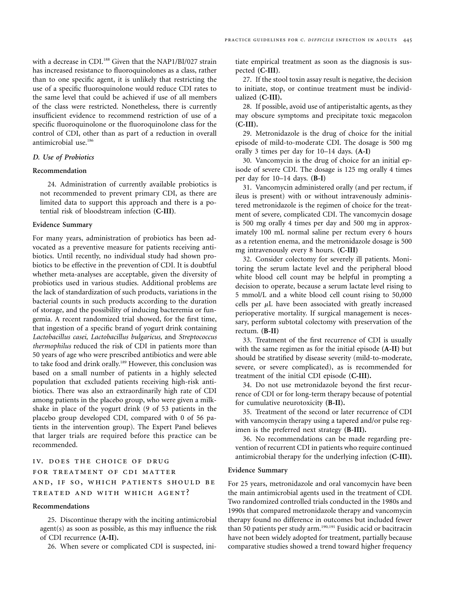with a decrease in CDI.<sup>188</sup> Given that the NAP1/BI/027 strain has increased resistance to fluoroquinolones as a class, rather than to one specific agent, it is unlikely that restricting the use of a specific fluoroquinolone would reduce CDI rates to the same level that could be achieved if use of all members of the class were restricted. Nonetheless, there is currently insufficient evidence to recommend restriction of use of a specific fluoroquinolone or the fluoroquinolone class for the control of CDI, other than as part of a reduction in overall antimicrobial use.<sup>186</sup>

# *D. Use of Probiotics*

# **Recommendation**

24. Administration of currently available probiotics is not recommended to prevent primary CDI, as there are limited data to support this approach and there is a potential risk of bloodstream infection **(C-III)**.

#### **Evidence Summary**

For many years, administration of probiotics has been advocated as a preventive measure for patients receiving antibiotics. Until recently, no individual study had shown probiotics to be effective in the prevention of CDI. It is doubtful whether meta-analyses are acceptable, given the diversity of probiotics used in various studies. Additional problems are the lack of standardization of such products, variations in the bacterial counts in such products according to the duration of storage, and the possibility of inducing bacteremia or fungemia. A recent randomized trial showed, for the first time, that ingestion of a specific brand of yogurt drink containing *Lactobacillus casei, Lactobacillus bulgaricus,* and *Streptococcus thermophilus* reduced the risk of CDI in patients more than 50 years of age who were prescribed antibiotics and were able to take food and drink orally.<sup>189</sup> However, this conclusion was based on a small number of patients in a highly selected population that excluded patients receiving high-risk antibiotics. There was also an extraordinarily high rate of CDI among patients in the placebo group, who were given a milkshake in place of the yogurt drink (9 of 53 patients in the placebo group developed CDI, compared with 0 of 56 patients in the intervention group). The Expert Panel believes that larger trials are required before this practice can be recommended.

# iv. does the choice of drug for treatment of cdi matter and, if so, which patients should be treated and with which agent?

#### **Recommendations**

25. Discontinue therapy with the inciting antimicrobial  $agent(s)$  as soon as possible, as this may influence the risk of CDI recurrence **(A-II).** 

26. When severe or complicated CDI is suspected, ini-

tiate empirical treatment as soon as the diagnosis is suspected **(C-III)**.

27. If the stool toxin assay result is negative, the decision to initiate, stop, or continue treatment must be individualized **(C-III).** 

28. If possible, avoid use of antiperistaltic agents, as they may obscure symptoms and precipitate toxic megacolon **(C-III).** 

29. Metronidazole is the drug of choice for the initial episode of mild-to-moderate CDI. The dosage is 500 mg orally 3 times per day for 10–14 days. **(A-I)** 

30. Vancomycin is the drug of choice for an initial episode of severe CDI. The dosage is 125 mg orally 4 times per day for 10–14 days. **(B-I)** 

31. Vancomycin administered orally (and per rectum, if ileus is present) with or without intravenously administered metronidazole is the regimen of choice for the treatment of severe, complicated CDI. The vancomycin dosage is 500 mg orally 4 times per day and 500 mg in approximately 100 mL normal saline per rectum every 6 hours as a retention enema, and the metronidazole dosage is 500 mg intravenously every 8 hours. **(C-III)** 

32. Consider colectomy for severely ill patients. Monitoring the serum lactate level and the peripheral blood white blood cell count may be helpful in prompting a decision to operate, because a serum lactate level rising to 5 mmol/L and a white blood cell count rising to 50,000 cells per  $\mu$ L have been associated with greatly increased perioperative mortality. If surgical management is necessary, perform subtotal colectomy with preservation of the rectum. **(B-II)** 

33. Treatment of the first recurrence of CDI is usually with the same regimen as for the initial episode **(A-II)** but should be stratified by disease severity (mild-to-moderate, severe, or severe complicated), as is recommended for treatment of the initial CDI episode **(C-III).** 

34. Do not use metronidazole beyond the first recurrence of CDI or for long-term therapy because of potential for cumulative neurotoxicity **(B-II).** 

35. Treatment of the second or later recurrence of CDI with vancomycin therapy using a tapered and/or pulse regimen is the preferred next strategy **(B-III).** 

36. No recommendations can be made regarding prevention of recurrent CDI in patients who require continued antimicrobial therapy for the underlying infection **(C-III).** 

## **Evidence Summary**

For 25 years, metronidazole and oral vancomycin have been the main antimicrobial agents used in the treatment of CDI. Two randomized controlled trials conducted in the 1980s and 1990s that compared metronidazole therapy and vancomycin therapy found no difference in outcomes but included fewer than 50 patients per study arm.<sup>190,191</sup> Fusidic acid or bacitracin have not been widely adopted for treatment, partially because comparative studies showed a trend toward higher frequency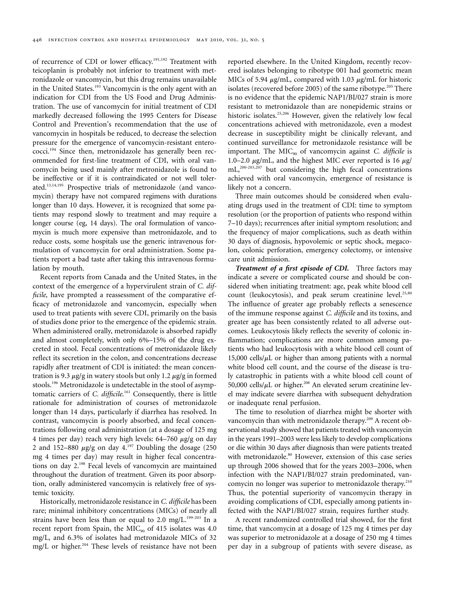of recurrence of CDI or lower efficacy.<sup>191,192</sup> Treatment with teicoplanin is probably not inferior to treatment with metronidazole or vancomycin, but this drug remains unavailable in the United States.<sup>193</sup> Vancomycin is the only agent with an indication for CDI from the US Food and Drug Administration. The use of vancomycin for initial treatment of CDI markedly decreased following the 1995 Centers for Disease Control and Prevention's recommendation that the use of vancomycin in hospitals be reduced, to decrease the selection pressure for the emergence of vancomycin-resistant enterococci.194 Since then, metronidazole has generally been recommended for first-line treatment of CDI, with oral vancomycin being used mainly after metronidazole is found to be ineffective or if it is contraindicated or not well tolerated.13,14,195 Prospective trials of metronidazole (and vancomycin) therapy have not compared regimens with durations longer than 10 days. However, it is recognized that some patients may respond slowly to treatment and may require a longer course (eg, 14 days). The oral formulation of vancomycin is much more expensive than metronidazole, and to reduce costs, some hospitals use the generic intravenous formulation of vancomycin for oral administration. Some patients report a bad taste after taking this intravenous formulation by mouth.

Recent reports from Canada and the United States, in the context of the emergence of a hypervirulent strain of *C. difficile*, have prompted a reassessment of the comparative efficacy of metronidazole and vancomycin, especially when used to treat patients with severe CDI, primarily on the basis of studies done prior to the emergence of the epidemic strain. When administered orally, metronidazole is absorbed rapidly and almost completely, with only 6%–15% of the drug excreted in stool. Fecal concentrations of metronidazole likely reflect its secretion in the colon, and concentrations decrease rapidly after treatment of CDI is initiated: the mean concentration is 9.3  $\mu$ g/g in watery stools but only 1.2  $\mu$ g/g in formed stools.<sup>196</sup> Metronidazole is undetectable in the stool of asymptomatic carriers of *C. difficile*.<sup>161</sup> Consequently, there is little rationale for administration of courses of metronidazole longer than 14 days, particularly if diarrhea has resolved. In contrast, vancomycin is poorly absorbed, and fecal concentrations following oral administration (at a dosage of 125 mg 4 times per day) reach very high levels:  $64-760 \mu g/g$  on day 2 and 152–880  $\mu$ g/g on day 4.<sup>197</sup> Doubling the dosage (250 mg 4 times per day) may result in higher fecal concentrations on day 2.198 Fecal levels of vancomycin are maintained throughout the duration of treatment. Given its poor absorption, orally administered vancomycin is relatively free of systemic toxicity.

Historically, metronidazole resistance in *C. difficile* has been rare; minimal inhibitory concentrations (MICs) of nearly all strains have been less than or equal to 2.0 mg/L.<sup>199-203</sup> In a recent report from Spain, the  $MIC<sub>90</sub>$  of 415 isolates was 4.0 mg/L, and 6.3% of isolates had metronidazole MICs of 32 mg/L or higher.<sup>204</sup> These levels of resistance have not been

reported elsewhere. In the United Kingdom, recently recovered isolates belonging to ribotype 001 had geometric mean MICs of 5.94  $\mu$ g/mL, compared with 1.03  $\mu$ g/mL for historic isolates (recovered before 2005) of the same ribotype.<sup>205</sup> There is no evidence that the epidemic NAP1/BI/027 strain is more resistant to metronidazole than are nonepidemic strains or historic isolates.<sup>25,206</sup> However, given the relatively low fecal concentrations achieved with metronidazole, even a modest decrease in susceptibility might be clinically relevant, and continued surveillance for metronidazole resistance will be important. The MIC<sub>90</sub> of vancomycin against *C. difficile* is 1.0–2.0  $\mu$ g/mL, and the highest MIC ever reported is 16  $\mu$ g/ mL,200-203,207 but considering the high fecal concentrations achieved with oral vancomycin, emergence of resistance is likely not a concern.

Three main outcomes should be considered when evaluating drugs used in the treatment of CDI: time to symptom resolution (or the proportion of patients who respond within 7–10 days); recurrences after initial symptom resolution; and the frequency of major complications, such as death within 30 days of diagnosis, hypovolemic or septic shock, megacolon, colonic perforation, emergency colectomy, or intensive care unit admission.

*Treatment of a first episode of CDI.* Three factors may indicate a severe or complicated course and should be considered when initiating treatment: age, peak white blood cell count (leukocytosis), and peak serum creatinine level. $25,80$ The influence of greater age probably reflects a senescence of the immune response against *C. difficile* and its toxins, and greater age has been consistently related to all adverse outcomes. Leukocytosis likely reflects the severity of colonic inflammation; complications are more common among patients who had leukocytosis with a white blood cell count of 15,000 cells/ $\mu$ L or higher than among patients with a normal white blood cell count, and the course of the disease is truly catastrophic in patients with a white blood cell count of 50,000 cells/ $\mu$ L or higher.<sup>208</sup> An elevated serum creatinine level may indicate severe diarrhea with subsequent dehydration or inadequate renal perfusion.

The time to resolution of diarrhea might be shorter with vancomycin than with metronidazole therapy.<sup>209</sup> A recent observational study showed that patients treated with vancomycin in the years 1991–2003 were less likely to develop complications or die within 30 days after diagnosis than were patients treated with metronidazole.<sup>80</sup> However, extension of this case series up through 2006 showed that for the years 2003–2006, when infection with the NAP1/BI/027 strain predominated, vancomycin no longer was superior to metronidazole therapy.210 Thus, the potential superiority of vancomycin therapy in avoiding complications of CDI, especially among patients infected with the NAP1/BI/027 strain, requires further study.

A recent randomized controlled trial showed, for the first time, that vancomycin at a dosage of 125 mg 4 times per day was superior to metronidazole at a dosage of 250 mg 4 times per day in a subgroup of patients with severe disease, as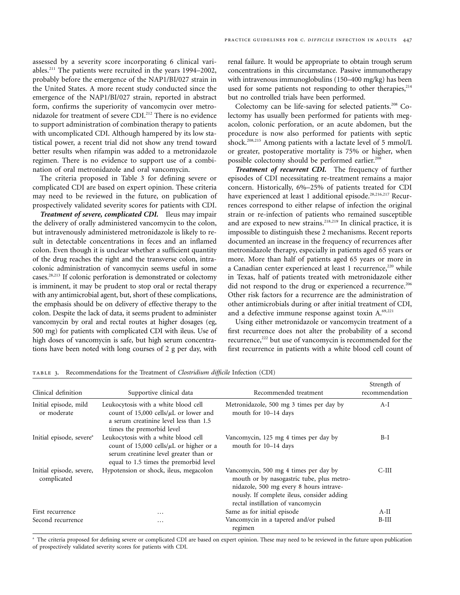assessed by a severity score incorporating 6 clinical variables.211 The patients were recruited in the years 1994–2002, probably before the emergence of the NAP1/BI/027 strain in the United States. A more recent study conducted since the emergence of the NAP1/BI/027 strain, reported in abstract form, confirms the superiority of vancomycin over metronidazole for treatment of severe CDI.<sup>212</sup> There is no evidence to support administration of combination therapy to patients with uncomplicated CDI. Although hampered by its low statistical power, a recent trial did not show any trend toward better results when rifampin was added to a metronidazole regimen. There is no evidence to support use of a combination of oral metronidazole and oral vancomycin.

The criteria proposed in Table 3 for defining severe or complicated CDI are based on expert opinion. These criteria may need to be reviewed in the future, on publication of prospectively validated severity scores for patients with CDI.

*Treatment of severe, complicated CDI.* Ileus may impair the delivery of orally administered vancomycin to the colon, but intravenously administered metronidazole is likely to result in detectable concentrations in feces and an inflamed colon. Even though it is unclear whether a sufficient quantity of the drug reaches the right and the transverse colon, intracolonic administration of vancomycin seems useful in some [cases.28](#page-19-0),213 If colonic perforation is demonstrated or colectomy is imminent, it may be prudent to stop oral or rectal therapy with any antimicrobial agent, but, short of these complications, the emphasis should be on delivery of effective therapy to the colon. Despite the lack of data, it seems prudent to administer vancomycin by oral and rectal routes at higher dosages (eg, 500 mg) for patients with complicated CDI with ileus. Use of high doses of vancomycin is safe, but high serum concentrations have been noted with long courses of 2 g per day, with renal failure. It would be appropriate to obtain trough serum concentrations in this circumstance. Passive immunotherapy with intravenous immunoglobulins (150–400 mg/kg) has been used for some patients not responding to other therapies,  $2^{14}$ but no controlled trials have been performed.

Colectomy can be life-saving for selected patients.<sup>208</sup> Colectomy has usually been performed for patients with megacolon, colonic perforation, or an acute abdomen, but the procedure is now also performed for patients with septic shock.<sup>208,215</sup> Among patients with a lactate level of 5 mmol/L or greater, postoperative mortality is 75% or higher, when possible colectomy should be performed earlier.<sup>208</sup>

*Treatment of recurrent CDI.* The frequency of further episodes of CDI necessitating re-treatment remains a major concern. Historically, 6%–25% of patients treated for CDI have experienced at least 1 additional episode.<sup>28,216,217</sup> Recurrences correspond to either relapse of infection the original strain or re-infection of patients who remained susceptible and are exposed to new strains.<sup>218,219</sup> In clinical practice, it is impossible to distinguish these 2 mechanisms. Recent reports documented an increase in the frequency of recurrences after metronidazole therapy, especially in patients aged 65 years or more. More than half of patients aged 65 years or more in a Canadian center experienced at least 1 recurrence,<sup>220</sup> while in Texas, half of patients treated with metronidazole either did not respond to the drug or experienced a recurrence.<sup>206</sup> Other risk factors for a recurrence are the administration of other antimicrobials during or after initial treatment of CDI, and a defective immune response against toxin A.<sup>69,221</sup>

Using either metronidazole or vancomycin treatment of a first recurrence does not alter the probability of a second recurrence,<sup>222</sup> but use of vancomycin is recommended for the first recurrence in patients with a white blood cell count of

| Clinical definition                     | Supportive clinical data                                                                                                                                                  | Recommended treatment                                                                                                                                                                                            | Strength of<br>recommendation |
|-----------------------------------------|---------------------------------------------------------------------------------------------------------------------------------------------------------------------------|------------------------------------------------------------------------------------------------------------------------------------------------------------------------------------------------------------------|-------------------------------|
| Initial episode, mild<br>or moderate    | Leukocytosis with a white blood cell<br>count of 15,000 cells/ $\mu$ L or lower and<br>a serum creatinine level less than 1.5<br>times the premorbid level                | Metronidazole, 500 mg 3 times per day by<br>mouth for 10-14 days                                                                                                                                                 | $A-I$                         |
| Initial episode, severe <sup>a</sup>    | Leukocytosis with a white blood cell<br>count of 15,000 cells/ $\mu$ L or higher or a<br>serum creatinine level greater than or<br>equal to 1.5 times the premorbid level | Vancomycin, 125 mg 4 times per day by<br>mouth for 10-14 days                                                                                                                                                    | $B-I$                         |
| Initial episode, severe,<br>complicated | Hypotension or shock, ileus, megacolon                                                                                                                                    | Vancomycin, 500 mg 4 times per day by<br>mouth or by nasogastric tube, plus metro-<br>nidazole, 500 mg every 8 hours intrave-<br>nously. If complete ileus, consider adding<br>rectal instillation of vancomycin | C-III                         |
| First recurrence                        | $\cdots$                                                                                                                                                                  | Same as for initial episode                                                                                                                                                                                      | $A-II$                        |
| Second recurrence                       | $\cdots$                                                                                                                                                                  | Vancomycin in a tapered and/or pulsed<br>regimen                                                                                                                                                                 | $B-III$                       |

table 3. Recommendations for the Treatment of *Clostridium difficile* Infection (CDI)

<sup>a</sup> The criteria proposed for defining severe or complicated CDI are based on expert opinion. These may need to be reviewed in the future upon publication of prospectively validated severity scores for patients with CDI.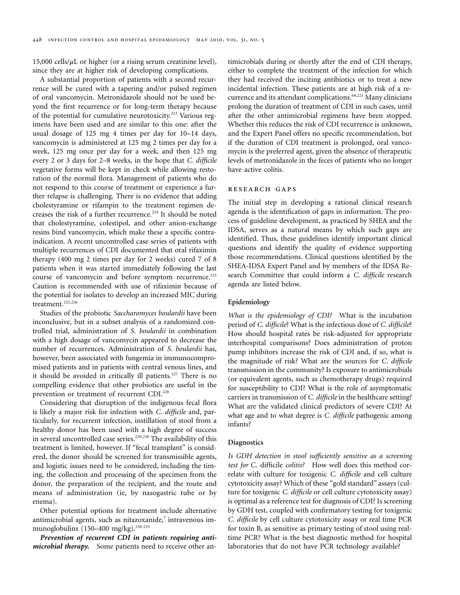15,000 cells/ $\mu$ L or higher (or a rising serum creatinine level), since they are at higher risk of developing complications.

A substantial proportion of patients with a second recurrence will be cured with a tapering and/or pulsed regimen of oral vancomycin. Metronidazole should not be used beyond the first recurrence or for long-term therapy because of the potential for cumulative neurotoxicity.<sup>223</sup> Various regimens have been used and are similar to this one: after the usual dosage of 125 mg 4 times per day for 10–14 days, vancomycin is administered at 125 mg 2 times per day for a week, 125 mg once per day for a week, and then 125 mg every 2 or 3 days for 2–8 weeks, in the hope that *C. difficile*  vegetative forms will be kept in check while allowing restoration of the normal flora. Management of patients who do not respond to this course of treatment or experience a further relapse is challenging. There is no evidence that adding cholestyramine or rifampin to the treatment regimen decreases the risk of a further recurrence.<sup>224</sup> It should be noted that cholestyramine, colestipol, and other anion-exchange resins bind vancomycin, which make these a specific contraindication. A recent uncontrolled case series of patients with multiple recurrences of CDI documented that oral rifaximin therapy (400 mg 2 times per day for 2 weeks) cured 7 of 8 patients when it was started immediately following the last course of vancomycin and before symptom recurrence.<sup>225</sup> Caution is recommended with use of rifaximin because of the potential for isolates to develop an increased MIC during treatment.<sup>225,226</sup>

Studies of the probiotic *Saccharomyces boulardii* have been inconclusive, but in a subset analysis of a randomized controlled trial, administration of *S. boulardii* in combination with a high dosage of vancomycin appeared to decrease the number of recurrences. Administration of *S. boulardii* has, however, been associated with fungemia in immunocompromised patients and in patients with central venous lines, and it should be avoided in critically ill patients.<sup>227</sup> There is no compelling evidence that other probiotics are useful in the prevention or treatment of recurrent CDI.<sup>228</sup>

Considering that disruption of the indigenous fecal flora is likely a major risk for infection with *C. difficile* and, particularly, for recurrent infection, instillation of stool from a healthy donor has been used with a high degree of success in several uncontrolled case series.<sup>229,230</sup> The availability of this treatment is limited, however. If "fecal transplant" is considered, the donor should be screened for transmissible agents, and logistic issues need to be considered, including the timing, the collection and processing of the specimen from the donor, the preparation of the recipient, and the route and means of administration (ie, by nasogastric tube or by enema).

Other potential options for treatment include alternative antimicrobial agents, such as nitazoxanide, $7$  intravenous immunoglobulins (150-400 mg/kg).<sup>230-233</sup>

*Prevention of recurrent CDI in patients requiring antimicrobial therapy.* Some patients need to receive other an-

timicrobials during or shortly after the end of CDI therapy, either to complete the treatment of the infection for which they had received the inciting antibiotics or to treat a new incidental infection. These patients are at high risk of a recurrence and its attendant complications.<sup>69,221</sup> Many clinicians prolong the duration of treatment of CDI in such cases, until after the other antimicrobial regimens have been stopped. Whether this reduces the risk of CDI recurrence is unknown, and the Expert Panel offers no specific recommendation, but if the duration of CDI treatment is prolonged, oral vancomycin is the preferred agent, given the absence of therapeutic levels of metronidazole in the feces of patients who no longer have active colitis.

# research gaps

The initial step in developing a rational clinical research agenda is the identification of gaps in information. The process of guideline development, as practiced by SHEA and the IDSA, serves as a natural means by which such gaps are identified. Thus, these guidelines identify important clinical questions and identify the quality of evidence supporting those recommendations. Clinical questions identified by the SHEA-IDSA Expert Panel and by members of the IDSA Research Committee that could inform a *C. difficile* research agenda are listed below.

# **Epidemiology**

*What is the epidemiology of CDI?* What is the incubation period of *C. difficile*? What is the infectious dose of *C. difficile*? How should hospital rates be risk-adjusted for appropriate interhospital comparisons? Does administration of proton pump inhibitors increase the risk of CDI and, if so, what is the magnitude of risk? What are the sources for *C. difficile*  transmission in the community? Is exposure to antimicrobials (or equivalent agents, such as chemotherapy drugs) required for susceptibility to CDI? What is the role of asymptomatic carriers in transmission of *C. difficile* in the healthcare setting? What are the validated clinical predictors of severe CDI? At what age and to what degree is *C. difficile* pathogenic among infants?

# **Diagnostics**

*Is GDH detection in stool sufficiently sensitive as a screening test for* C. difficile *colitis?* How well does this method correlate with culture for toxigenic *C. difficile* and cell culture cytotoxicity assay? Which of these "gold standard" assays (culture for toxigenic *C. difficile* or cell culture cytotoxicity assay) is optimal as a reference test for diagnosis of CDI? Is screening by GDH test, coupled with confirmatory testing for toxigenic *C. difficile* by cell culture cytotoxicity assay or real time PCR for toxin B, as sensitive as primary testing of stool using realtime PCR? What is the best diagnostic method for hospital laboratories that do not have PCR technology available?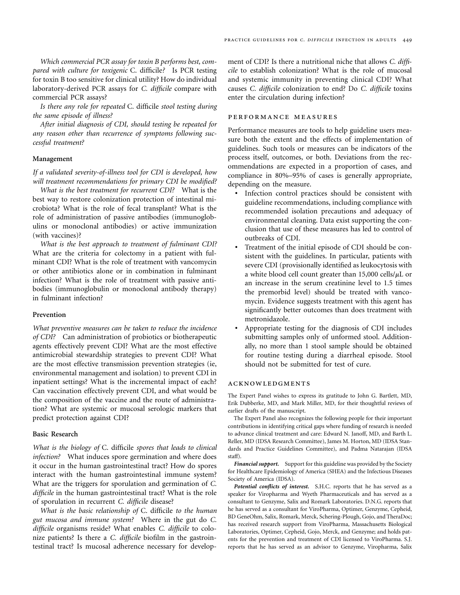*Which commercial PCR assay for toxin B performs best, compared with culture for toxigenic* C. difficile*?* Is PCR testing for toxin B too sensitive for clinical utility? How do individual laboratory-derived PCR assays for *C. difficile* compare with commercial PCR assays?

*Is there any role for repeated* C. difficile *stool testing during the same episode of illness?* 

*After initial diagnosis of CDI, should testing be repeated for any reason other than recurrence of symptoms following successful treatment?* 

#### **Management**

*If a validated severity-of-illness tool for CDI is developed, how will treatment recommendations for primary CDI be modified?* 

*What is the best treatment for recurrent CDI?* What is the best way to restore colonization protection of intestinal microbiota? What is the role of fecal transplant? What is the role of administration of passive antibodies (immunoglobulins or monoclonal antibodies) or active immunization (with vaccines)?

*What is the best approach to treatment of fulminant CDI?*  What are the criteria for colectomy in a patient with fulminant CDI? What is the role of treatment with vancomycin or other antibiotics alone or in combination in fulminant infection? What is the role of treatment with passive antibodies (immunoglobulin or monoclonal antibody therapy) in fulminant infection?

# **Prevention**

*What preventive measures can be taken to reduce the incidence of CDI?* Can administration of probiotics or biotherapeutic agents effectively prevent CDI? What are the most effective antimicrobial stewardship strategies to prevent CDI? What are the most effective transmission prevention strategies (ie, environmental management and isolation) to prevent CDI in inpatient settings? What is the incremental impact of each? Can vaccination effectively prevent CDI, and what would be the composition of the vaccine and the route of administration? What are systemic or mucosal serologic markers that predict protection against CDI?

# **Basic Research**

*What is the biology of* C. difficile *spores that leads to clinical infection?* What induces spore germination and where does it occur in the human gastrointestinal tract? How do spores interact with the human gastrointestinal immune system? What are the triggers for sporulation and germination of *C. difficile* in the human gastrointestinal tract? What is the role of sporulation in recurrent *C. difficile* disease?

*What is the basic relationship of* C. difficile *to the human gut mucosa and immune system?* Where in the gut do *C. difficile* organisms reside? What enables *C. difficile* to colonize patients? Is there a *C. difficile* biofilm in the gastrointestinal tract? Is mucosal adherence necessary for development of CDI? Is there a nutritional niche that allows *C. difficile* to establish colonization? What is the role of mucosal and systemic immunity in preventing clinical CDI? What causes *C. difficile* colonization to end? Do *C. difficile* toxins enter the circulation during infection?

#### performance measures

Performance measures are tools to help guideline users measure both the extent and the effects of implementation of guidelines. Such tools or measures can be indicators of the process itself, outcomes, or both. Deviations from the recommendations are expected in a proportion of cases, and compliance in 80%–95% of cases is generally appropriate, depending on the measure.

- • Infection control practices should be consistent with guideline recommendations, including compliance with recommended isolation precautions and adequacy of environmental cleaning. Data exist supporting the conclusion that use of these measures has led to control of outbreaks of CDI.
- Treatment of the initial episode of CDI should be consistent with the guidelines. In particular, patients with severe CDI (provisionally identified as leukocytosis with a white blood cell count greater than  $15,000$  cells/ $\mu$ L or an increase in the serum creatinine level to 1.5 times the premorbid level) should be treated with vancomycin. Evidence suggests treatment with this agent has significantly better outcomes than does treatment with metronidazole.
- Appropriate testing for the diagnosis of CDI includes submitting samples only of unformed stool. Additionally, no more than 1 stool sample should be obtained for routine testing during a diarrheal episode. Stool should not be submitted for test of cure.

#### acknowledgments

The Expert Panel wishes to express its gratitude to John G. Bartlett, MD, Erik Dubberke, MD, and Mark Miller, MD, for their thoughtful reviews of earlier drafts of the manuscript.

The Expert Panel also recognizes the following people for their important contributions in identifying critical gaps where funding of research is needed to advance clinical treatment and care: Edward N. Janoff, MD, and Barth L. Reller, MD (IDSA Research Committee), James M. Horton, MD (IDSA Standards and Practice Guidelines Committee), and Padma Natarajan (IDSA staff).

*Financial support.* Support for this guideline was provided by the Society for Healthcare Epidemiology of America (SHEA) and the Infectious Diseases Society of America (IDSA).

*Potential conflicts of interest.* S.H.C. reports that he has served as a speaker for Viropharma and Wyeth Pharmaceuticals and has served as a consultant to Genzyme, Salix and Romark Laboratories. D.N.G. reports that he has served as a consultant for ViroPharma, Optimer, Genzyme, Cepheid, BD GeneOhm, Salix, Romark, Merck, Schering-Plough, Gojo, and TheraDoc; has received research support from ViroPharma, Massachusetts Biological Laboratories, Optimer, Cepheid, Gojo, Merck, and Genzyme; and holds patents for the prevention and treatment of CDI licensed to ViroPharma. S.J. reports that he has served as an advisor to Genzyme, Viropharma, Salix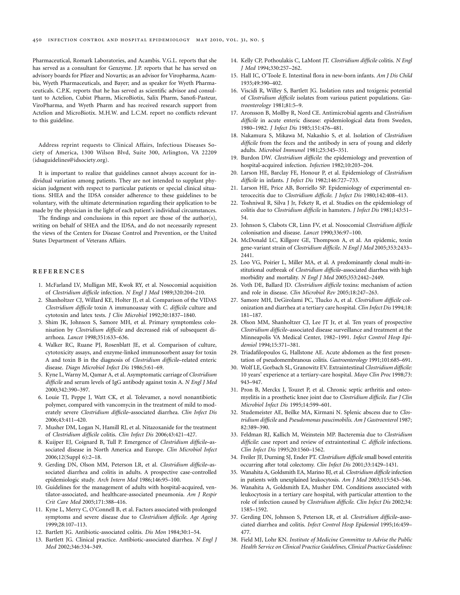<span id="page-19-0"></span>Pharmaceutical, Romark Laboratories, and Acambis. V.G.L. reports that she has served as a consultant for Genzyme. J.P. reports that he has served on advisory boards for Pfizer and Novartis; as an advisor for Viropharma, Acambis, Wyeth Pharmaceuticals, and Bayer; and as speaker for Wyeth Pharmaceuticals. C.P.K. reports that he has served as scientific advisor and consultant to Actelion, Cubist Pharm, MicroBiotix, Salix Pharm, Sanofi-Pasteur, ViroPharma, and Wyeth Pharm and has received research support from Actelion and MicroBiotix. M.H.W. and L.C.M. report no conflicts relevant to this guideline.

Address reprint requests to Clinical Affairs, Infectious Diseases Society of America, 1300 Wilson Blvd, Suite 300, Arlington, VA 22209 (idsaguidelines@idsociety.org).

It is important to realize that guidelines cannot always account for individual variation among patients. They are not intended to supplant physician judgment with respect to particular patients or special clinical situations. SHEA and the IDSA consider adherence to these guidelines to be voluntary, with the ultimate determination regarding their application to be made by the physician in the light of each patient's individual circumstances.

The findings and conclusions in this report are those of the author(s), writing on behalf of SHEA and the IDSA, and do not necessarily represent the views of the Centers for Disease Control and Prevention, or the United States Department of Veterans Affairs.

#### references

- 1. McFarland LV, Mulligan ME, Kwok RY, et al. Nosocomial acquisition of *Clostridium difficile* infection. *N Engl J Med* 1989;320:204–210.
- 2. Shanholtzer CJ, Willard KE, Holter JJ, et al. Comparison of the VIDAS *Clostridium difficile* toxin A immunoassay with *C. difficile* culture and cytotoxin and latex tests. *J Clin Microbiol* 1992;30:1837–1840.
- 3. Shim JK, Johnson S, Samore MH, et al. Primary symptomless colonisation by *Clostridium difficile* and decreased risk of subsequent diarrhoea. *Lancet* 1998;351:633–636.
- 4. Walker RC, Ruane PJ, Rosenblatt JE, et al. Comparison of culture, cytotoxicity assays, and enzyme-linked immunosorbent assay for toxin A and toxin B in the diagnosis of *Clostridium difficile*–related enteric disease. *Diagn Microbiol Infect Dis* 1986;5:61–69.
- 5. Kyne L, Warny M, Qamar A, et al. Asymptomatic carriage of *Clostridium difficile* and serum levels of IgG antibody against toxin A. *N Engl J Med*  2000;342:390–397.
- 6. Louie TJ, Peppe J, Watt CK, et al. Tolevamer, a novel nonantibiotic polymer, compared with vancomycin in the treatment of mild to moderately severe *Clostridium difficile*–associated diarrhea. *Clin Infect Dis*  2006;43:411–420.
- 7. Musher DM, Logan N, Hamill RJ, et al. Nitazoxanide for the treatment of *Clostridium difficile* colitis. *Clin Infect Dis* 2006;43:421–427.
- 8. Kuijper EJ, Coignard B, Tull P. Emergence of *Clostridium difficile*–associated disease in North America and Europe. *Clin Microbiol Infect*  2006;12(Suppl 6):2–18.
- 9. Gerding DN, Olson MM, Peterson LR, et al. *Clostridium difficile*-associated diarrhea and colitis in adults. A prospective case-controlled epidemiologic study. *Arch Intern Med* 1986;146:95–100.
- 10. Guidelines for the management of adults with hospital-acquired, ventilator-associated, and healthcare-associated pneumonia. *Am J Respir Crit Care Med* 2005;171:388–416.
- 11. Kyne L, Merry C, O'Connell B, et al. Factors associated with prolonged symptoms and severe disease due to *Clostridium difficile*. *Age Ageing*  1999;28:107–113.
- 12. Bartlett JG. Antibiotic-associated colitis. *Dis Mon* 1984;30:1–54.
- 13. Bartlett JG. Clinical practice. Antibiotic-associated diarrhea. *N Engl J Med* 2002;346:334–349.
- 14. Kelly CP, Pothoulakis C, LaMont JT. *Clostridium difficile* colitis. *N Engl J Med* 1994;330:257–262.
- 15. Hall IC, O'Toole E. Intestinal flora in new-born infants. *Am J Dis Child*  1935;49:390–402.
- 16. Viscidi R, Willey S, Bartlett JG. Isolation rates and toxigenic potential of *Clostridium difficile* isolates from various patient populations. *Gastroenterology* 1981;81:5–9.
- 17. Aronsson B, Mollby R, Nord CE. Antimicrobial agents and *Clostridium difficile* in acute enteric disease: epidemiological data from Sweden, 1980–1982. *J Infect Dis* 1985;151:476–481.
- 18. Nakamura S, Mikawa M, Nakashio S, et al. Isolation of *Clostridium difficile* from the feces and the antibody in sera of young and elderly adults. *Microbiol Immunol* 1981;25:345–351.
- 19. Burdon DW. *Clostridium difficile*: the epidemiology and prevention of hospital-acquired infection. *Infection* 1982;10:203–204.
- 20. Larson HE, Barclay FE, Honour P, et al. Epidemiology of *Clostridium difficile* in infants. *J Infect Dis* 1982;146:727–733.
- 21. Larson HE, Price AB, Borriello SP. Epidemiology of experimental enterocecitis due to *Clostridium difficile*. *J Infect Dis* 1980;142:408–413.
- 22. Toshniwal R, Silva J Jr, Fekety R, et al. Studies on the epidemiology of colitis due to *Clostridium difficile* in hamsters. *J Infect Dis* 1981;143:51– 54.
- 23. Johnson S, Clabots CR, Linn FV, et al. Nosocomial *Clostridium difficile*  colonisation and disease. *Lancet* 1990;336:97–100.
- 24. McDonald LC, Killgore GE, Thompson A, et al. An epidemic, toxin gene-variant strain of *Clostridium difficile*. *N Engl J Med* 2005;353:2433– 2441.
- 25. Loo VG, Poirier L, Miller MA, et al. A predominantly clonal multi-institutional outbreak of *Clostridium difficile*–associated diarrhea with high morbidity and mortality. *N Engl J Med* 2005;353:2442–2449.
- 26. Voth DE, Ballard JD. *Clostridium difficile* toxins: mechanism of action and role in disease. *Clin Microbiol Rev* 2005;18:247–263.
- 27. Samore MH, DeGirolami PC, Tlucko A, et al. *Clostridium difficile* colonization and diarrhea at a tertiary care hospital. *Clin Infect Dis* 1994;18: 181–187.
- 28. Olson MM, Shanholtzer CJ, Lee JT Jr, et al. Ten years of prospective *Clostridium difficile*–associated disease surveillance and treatment at the Minneapolis VA Medical Center, 1982–1991. *Infect Control Hosp Epidemiol* 1994;15:371–381.
- 29. Triadafilopoulos G, Hallstone AE. Acute abdomen as the first presentation of pseudomembranous colitis. *Gastroenterology* 1991;101:685–691.
- 30. Wolf LE, Gorbach SL, Granowitz EV. Extraintestinal *Clostridium difficile:*  10 years' experience at a tertiary-care hospital. *Mayo Clin Proc* 1998;73: 943–947.
- 31. Pron B, Merckx J, Touzet P, et al. Chronic septic arthritis and osteomyelitis in a prosthetic knee joint due to *Clostridium difficile*. *Eur J Clin Microbiol Infect Dis* 1995;14:599–601.
- 32. Studemeister AE, Beilke MA, Kirmani N. Splenic abscess due to *Clostridium difficile* and *Pseudomonas paucimobilis*. *Am J Gastroenterol* 1987; 82:389–390.
- 33. Feldman RJ, Kallich M, Weinstein MP. Bacteremia due to *Clostridium difficile*: case report and review of extraintestinal *C. difficile* infections. *Clin Infect Dis* 1995;20:1560–1562.
- 34. Freiler JF, Durning SJ, Ender PT. *Clostridium difficile* small bowel enteritis occurring after total colectomy. *Clin Infect Dis* 2001;33:1429–1431.
- 35. Wanahita A, Goldsmith EA, Marino BJ, et al. *Clostridium difficile* infection in patients with unexplained leukocytosis. *Am J Med* 2003;115:543–546.
- 36. Wanahita A, Goldsmith EA, Musher DM. Conditions associated with leukocytosis in a tertiary care hospital, with particular attention to the role of infection caused by *Clostridium difficile*. *Clin Infect Dis* 2002;34: 1585–1592.
- 37. Gerding DN, Johnson S, Peterson LR, et al. *Clostridium difficile*–associated diarrhea and colitis. *Infect Control Hosp Epidemiol* 1995;16:459– 477.
- 38. Field MJ, Lohr KN. *Institute of Medicine Committee to Advise the Public Health Service on Clinical Practice Guidelines, Clinical Practice Guidelines:*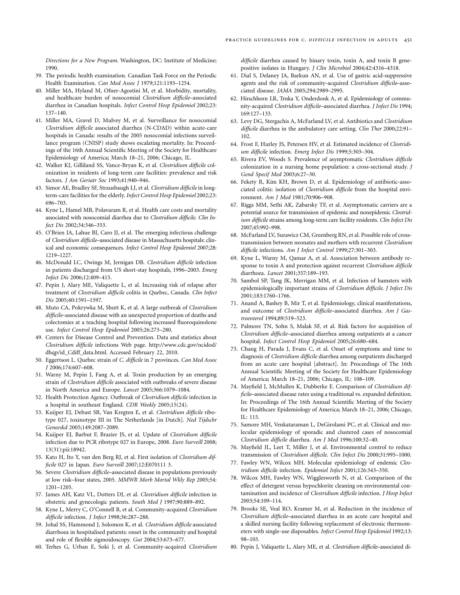*Directions for a New Program*. Washington, DC: Institute of Medicine; 1990.

- 39. The periodic health examination. Canadian Task Force on the Periodic Health Examination. *Can Med Assoc J* 1979;121:1193–1254.
- 40. Miller MA, Hyland M, Ofner-Agostini M, et al. Morbidity, mortality, and healthcare burden of nosocomial *Clostridium difficile*–associated diarrhea in Canadian hospitals. *Infect Control Hosp Epidemiol* 2002;23: 137–140.
- 41. Miller MA, Gravel D, Mulvey M, et al. Surveillance for nosocomial *Clostridium difficile* associated diarrhea (N-CDAD) within acute-care hospitals in Canada: results of the 2005 nosocomial infections surveillance program (CNISP) study shows escalating mortality. In: Proceedings of the 16th Annual Scientific Meeting of the Society for Healthcare Epidemiology of America; March 18–21, 2006; Chicago, IL.
- 42. Walker KJ, Gilliland SS, Vance-Bryan K, et al. *Clostridium difficile* colonization in residents of long-term care facilities: prevalence and risk factors. *J Am Geriatr Soc* 1993;41:940–946.
- 43. Simor AE, Bradley SF, Strausbaugh LJ, et al. *Clostridium difficile* in longterm-care facilities for the elderly. *Infect Control Hosp Epidemiol* 2002;23: 696–703.
- 44. Kyne L, Hamel MB, Polavaram R, et al. Health care costs and mortality associated with nosocomial diarrhea due to *Clostridium difficile*. *Clin Infect Dis* 2002;34:346–353.
- 45. O'Brien JA, Lahue BJ, Caro JJ, et al. The emerging infectious challenge of *Clostridium difficile*–associated disease in Massachusetts hospitals: clinical and economic consequences. *Infect Control Hosp Epidemiol* 2007;28: 1219–1227.
- 46. McDonald LC, Owings M, Jernigan DB. *Clostridium difficile* infection in patients discharged from US short-stay hospitals, 1996–2003. *Emerg Infect Dis* 2006;12:409–415.
- 47. Pepin J, Alary ME, Valiquette L, et al. Increasing risk of relapse after treatment of *Clostridium difficile* colitis in Quebec, Canada. *Clin Infect Dis* 2005;40:1591–1597.
- 48. Muto CA, Pokrywka M, Shutt K, et al. A large outbreak of *Clostridium difficile*–associated disease with an unexpected proportion of deaths and colectomies at a teaching hospital following increased fluoroquinolone use. *Infect Control Hosp Epidemiol* 2005;26:273–280.
- 49. Centers for Disease Control and Prevention. Data and statistics about *Clostridium difficile* infections Web page. http://www.cdc.gov/ncidod/ dhqp/id\_Cdiff\_data.html. Accessed February 22, 2010.
- 50. Eggertson L. Quebec strain of *C. difficile* in 7 provinces. *Can Med Assoc J* 2006;174:607–608.
- 51. Warny M, Pepin J, Fang A, et al. Toxin production by an emerging strain of *Clostridium difficile* associated with outbreaks of severe disease in North America and Europe. *Lancet* 2005;366:1079–1084.
- 52. Health Protection Agency. Outbreak of *Clostridium difficile* infection in a hospital in southeast England. *CDR Weekly* 2005;15(24).
- 53. Kuijper EJ, Debast SB, Van Kregten E, et al. *Clostridium difficile* ribotype 027, toxinotype III in The Netherlands [in Dutch]. *Ned Tijdschr Geneeskd* 2005;149:2087–2089.
- 54. Kuijper EJ, Barbut F, Brazier JS, et al. Update of *Clostridium difficile*  infection due to PCR ribotype 027 in Europe, 2008. *Euro Surveill* 2008; 13(31):pii:18942.
- 55. Kato H, Ito Y, van den Berg RJ, et al. First isolation of *Clostridium difficile* 027 in Japan. *Euro Surveill* 2007;12:E070111 3.
- 56. Severe *Clostridium difficile*–associated disease in populations previously at low risk–four states, 2005. *MMWR Morb Mortal Wkly Rep* 2005;54: 1201–1205.
- 57. James AH, Katz VL, Dotters DJ, et al. *Clostridium difficile* infection in obstetric and gynecologic patients. *South Med J* 1997;90:889–892.
- 58. Kyne L, Merry C, O'Connell B, et al. Community-acquired *Clostridium difficile* infection. *J Infect* 1998;36:287–288.
- 59. Johal SS, Hammond J, Solomon K, et al. *Clostridium difficile* associated diarrhoea in hospitalised patients: onset in the community and hospital and role of flexible sigmoidoscopy. *Gut* 2004;53:673–677.
- 60. Terhes G, Urban E, Soki J, et al. Community-acquired *Clostridium*

*difficile* diarrhea caused by binary toxin, toxin A, and toxin B genepositive isolates in Hungary. *J Clin Microbiol* 2004;42:4316–4318.

- 61. Dial S, Delaney JA, Barkun AN, et al. Use of gastric acid-suppressive agents and the risk of community-acquired *Clostridium difficile*–associated disease. *JAMA* 2005;294:2989–2995.
- 62. Hirschhorn LR, Trnka Y, Onderdonk A, et al. Epidemiology of community-acquired *Clostridium difficile*–associated diarrhea. *J Infect Dis* 1994; 169:127–133.
- 63. Levy DG, Stergachis A, McFarland LV, et al. Antibiotics and *Clostridium difficile* diarrhea in the ambulatory care setting. *Clin Ther* 2000;22:91– 102.
- 64. Frost F, Hurley JS, Petersen HV, et al. Estimated incidence of *Clostridium difficile* infection. *Emerg Infect Dis* 1999;5:303–304.
- 65. Rivera EV, Woods S. Prevalence of asymptomatic *Clostridium difficile*  colonization in a nursing home population: a cross-sectional study. *J Gend Specif Med* 2003;6:27–30.
- 66. Fekety R, Kim KH, Brown D, et al. Epidemiology of antibiotic-associated colitis: isolation of *Clostridium difficile* from the hospital environment. *Am J Med* 1981;70:906–908.
- 67. Riggs MM, Sethi AK, Zabarsky TF, et al. Asymptomatic carriers are a potential source for transmission of epidemic and nonepidemic *Clostridium difficile* strains among long-term care facility residents. *Clin Infect Dis*  2007;45:992–998.
- 68. McFarland LV, Surawicz CM, Greenberg RN, et al. Possible role of crosstransmission between neonates and mothers with recurrent *Clostridium difficile* infections. *Am J Infect Control* 1999;27:301–303.
- 69. Kyne L, Warny M, Qamar A, et al. Association between antibody response to toxin A and protection against recurrent *Clostridium difficile*  diarrhoea. *Lancet* 2001;357:189–193.
- 70. Sambol SP, Tang JK, Merrigan MM, et al. Infection of hamsters with epidemiologically important strains of *Clostridium difficile*. *J Infect Dis*  2001;183:1760–1766.
- 71. Anand A, Bashey B, Mir T, et al. Epidemiology, clinical manifestations, and outcome of *Clostridium difficile*–associated diarrhea. *Am J Gastroenterol* 1994;89:519–523.
- 72. Palmore TN, Sohn S, Malak SF, et al. Risk factors for acquisition of *Clostridium difficile*–associated diarrhea among outpatients at a cancer hospital. *Infect Control Hosp Epidemiol* 2005;26:680–684.
- 73. Chang H, Parada J, Evans C, et al. Onset of symptoms and time to diagnosis of *Clostridium difficile* diarrhea among outpatients discharged from an acute care hospital [abstract]. In: Proceedings of The 16th Annual Scientific Meeting of the Society for Healthcare Epidemiology of America; March 18–21, 2006; Chicago, IL: 108–109.
- 74. Mayfield J, McMullen K, Dubberke E. Comparison of *Clostridium difficile*–associated disease rates using a traditional vs. expanded definition. In: Proceedings of The 16th Annual Scientific Meeting of the Society for Healthcare Epidemiology of America; March 18–21, 2006; Chicago, IL: 115.
- 75. Samore MH, Venkataraman L, DeGirolami PC, et al. Clinical and molecular epidemiology of sporadic and clustered cases of nosocomial *Clostridium difficile* diarrhea. *Am J Med* 1996;100:32–40.
- 76. Mayfield JL, Leet T, Miller J, et al. Environmental control to reduce transmission of *Clostridium difficile*. *Clin Infect Dis* 2000;31:995–1000.
- 77. Fawley WN, Wilcox MH. Molecular epidemiology of endemic *Clostridium difficile* infection. *Epidemiol Infect* 2001;126:343–350.
- 78. Wilcox MH, Fawley WN, Wigglesworth N, et al. Comparison of the effect of detergent versus hypochlorite cleaning on environmental contamination and incidence of *Clostridium difficile* infection. *J Hosp Infect*  2003;54:109–114.
- 79. Brooks SE, Veal RO, Kramer M, et al. Reduction in the incidence of *Clostridium difficile*–associated diarrhea in an acute care hospital and a skilled nursing facility following replacement of electronic thermometers with single-use disposables. *Infect Control Hosp Epidemiol* 1992;13: 98–103.
- 80. Pepin J, Valiquette L, Alary ME, et al. *Clostridium difficile*–associated di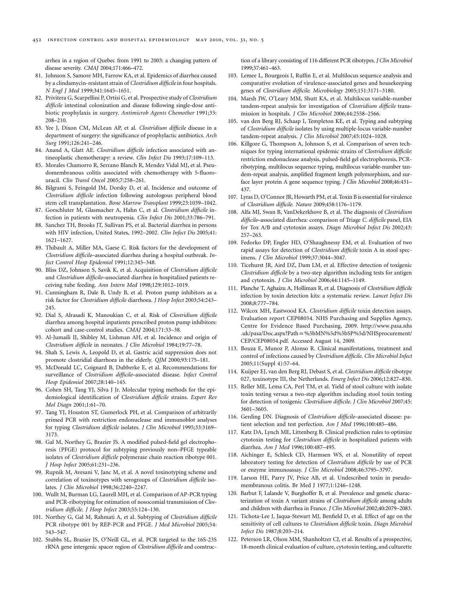arrhea in a region of Quebec from 1991 to 2003: a changing pattern of disease severity. *CMAJ* 2004;171:466–472.

- 81. Johnson S, Samore MH, Farrow KA, et al. Epidemics of diarrhea caused by a clindamycin-resistant strain of *Clostridium difficile* in four hospitals. *N Engl J Med* 1999;341:1645–1651.
- 82. Privitera G, Scarpellini P, Ortisi G, et al. Prospective study of *Clostridium difficile* intestinal colonization and disease following single-dose antibiotic prophylaxis in surgery. *Antimicrob Agents Chemother* 1991;35: 208–210.
- 83. Yee J, Dixon CM, McLean AP, et al. *Clostridium difficile* disease in a department of surgery: the significance of prophylactic antibiotics. *Arch Surg* 1991;126:241–246.
- 84. Anand A, Glatt AE. *Clostridium difficile* infection associated with antineoplastic chemotherapy: a review. *Clin Infect Dis* 1993;17:109–113.
- 85. Morales Chamorro R, Serrano Blanch R, Mendez Vidal MJ, et al. Pseudomembranous colitis associated with chemotherapy with 5-fluorouracil. *Clin Transl Oncol* 2005;7:258–261.
- 86. Bilgrami S, Feingold JM, Dorsky D, et al. Incidence and outcome of *Clostridium difficile* infection following autologous peripheral blood stem cell transplantation. *Bone Marrow Transplant* 1999;23:1039–1042.
- 87. Gorschluter M, Glasmacher A, Hahn C, et al. *Clostridium difficile* infection in patients with neutropenia. *Clin Infect Dis* 2001;33:786–791.
- 88. Sanchez TH, Brooks JT, Sullivan PS, et al. Bacterial diarrhea in persons with HIV infection, United States, 1992–2002. *Clin Infect Dis* 2005;41: 1621–1627.
- 89. Thibault A, Miller MA, Gaese C. Risk factors for the development of *Clostridium difficile*–associated diarrhea during a hospital outbreak. *Infect Control Hosp Epidemiol* 1991;12:345–348.
- 90. Bliss DZ, Johnson S, Savik K, et al. Acquisition of *Clostridium difficile*  and *Clostridium difficile*–associated diarrhea in hospitalized patients receiving tube feeding. *Ann Intern Med* 1998;129:1012–1019.
- 91. Cunningham R, Dale B, Undy B, et al. Proton pump inhibitors as a risk factor for *Clostridium difficile* diarrhoea. *J Hosp Infect* 2003;54:243– 245.
- 92. Dial S, Alrasadi K, Manoukian C, et al. Risk of *Clostridium difficile*  diarrhea among hospital inpatients prescribed proton pump inhibitors: cohort and case-control studies. *CMAJ* 2004;171:33–38.
- 93. Al-Jumaili IJ, Shibley M, Lishman AH, et al. Incidence and origin of *Clostridium difficile* in neonates. *J Clin Microbiol* 1984;19:77–78.
- 94. Shah S, Lewis A, Leopold D, et al. Gastric acid suppression does not promote clostridial diarrhoea in the elderly. *QJM* 2000;93:175–181.
- 95. McDonald LC, Coignard B, Dubberke E, et al. Recommendations for surveillance of *Clostridium difficile*–associated disease. *Infect Control Hosp Epidemiol* 2007;28:140–145.
- 96. Cohen SH, Tang YJ, Silva J Jr. Molecular typing methods for the epidemiological identification of *Clostridium difficile* strains. *Expert Rev Mol Diagn* 2001;1:61–70.
- 97. Tang YJ, Houston ST, Gumerlock PH, et al. Comparison of arbitrarily primed PCR with restriction endonuclease and immunoblot analyses for typing *Clostridium difficile* isolates. *J Clin Microbiol* 1995;33:3169– 3173.
- 98. Gal M, Northey G, Brazier JS. A modified pulsed-field gel electrophoresis (PFGE) protocol for subtyping previously non–PFGE typeable isolates of *Clostridium difficile* polymerase chain reaction ribotype 001. *J Hosp Infect* 2005;61:231–236.
- 99. Rupnik M, Avesani V, Janc M, et al. A novel toxinotyping scheme and correlation of toxinotypes with serogroups of *Clostridium difficile* isolates. *J Clin Microbiol* 1998;36:2240–2247.
- 100. Wullt M, Burman LG, Laurell MH, et al. Comparison of AP-PCR typing and PCR-ribotyping for estimation of nosocomial transmission of *Clostridium difficile*. *J Hosp Infect* 2003;55:124–130.
- 101. Northey G, Gal M, Rahmati A, et al. Subtyping of *Clostridium difficile*  PCR ribotype 001 by REP-PCR and PFGE. *J Med Microbiol* 2005;54: 543–547.
- 102. Stubbs SL, Brazier JS, O'Neill GL, et al. PCR targeted to the 16S-23S rRNA gene intergenic spacer region of *Clostridium difficile* and construc-

tion of a library consisting of 116 different PCR ribotypes. *J Clin Microbiol*  1999;37:461–463.

- 103. Lemee L, Bourgeois I, Ruffin E, et al. Multilocus sequence analysis and comparative evolution of virulence-associated genes and housekeeping genes of *Clostridium difficile*. *Microbiology* 2005;151:3171–3180.
- 104. Marsh JW, O'Leary MM, Shutt KA, et al. Multilocus variable-number tandem-repeat analysis for investigation of *Clostridium difficile* transmission in hospitals. *J Clin Microbiol* 2006;44:2558–2566.
- 105. van den Berg RJ, Schaap I, Templeton KE, et al. Typing and subtyping of *Clostridium difficile* isolates by using multiple-locus variable-number tandem-repeat analysis. *J Clin Microbiol* 2007;45:1024–1028.
- 106. Killgore G, Thompson A, Johnson S, et al. Comparison of seven techniques for typing international epidemic strains of *Clostridium difficile*: restriction endonuclease analysis, pulsed-field gel electrophoresis, PCRribotyping, multilocus sequence typing, multilocus variable-number tandem-repeat analysis, amplified fragment length polymorphism, and surface layer protein A gene sequence typing. *J Clin Microbiol* 2008;46:431– 437.
- 107. Lyras D, O'Connor JR, Howarth PM, et al. Toxin B is essential for virulence of *Clostridium difficile*. *Nature* 2009;458:1176–1179.
- 108. Alfa MJ, Swan B, VanDekerkhove B, et al. The diagnosis of *Clostridium difficile*–associated diarrhea: comparison of Triage *C. difficile* panel, EIA for Tox A/B and cytotoxin assays. *Diagn Microbiol Infect Dis* 2002;43: 257–263.
- 109. Fedorko DP, Engler HD, O'Shaughnessy EM, et al. Evaluation of two rapid assays for detection of *Clostridium difficile* toxin A in stool specimens. *J Clin Microbiol* 1999;37:3044–3047.
- 110. Ticehurst JR, Aird DZ, Dam LM, et al. Effective detection of toxigenic *Clostridium difficile* by a two-step algorithm including tests for antigen and cytotoxin. *J Clin Microbiol* 2006;44:1145–1149.
- 111. Planche T, Aghaizu A, Holliman R, et al. Diagnosis of *Clostridium difficile*  infection by toxin detection kits: a systematic review. *Lancet Infect Dis*  2008;8:777–784.
- 112. Wilcox MH, Eastwood KA. *Clostridium difficile* toxin detection assays. Evaluation report CEP08054. NHS Purchasing and Supplies Agency, Centre for Evidence Based Purchasing, 2009. http://www.pasa.nhs .uk/pasa/Doc.aspx?Path=%5bMN%5d%5bSP%5d/NHSprocurement/ CEP/CEP08054.pdf. Accessed August 14, 2009.
- 113. Bouza E, Munoz P, Alonso R. Clinical manifestations, treatment and control of infections caused by *Clostridium difficile*. *Clin Microbiol Infect*  2005;11(Suppl 4):57–64.
- 114. Kuijper EJ, van den Berg RJ, Debast S, et al. *Clostridium difficile* ribotype 027, toxinotype III, the Netherlands. *Emerg Infect Dis* 2006;12:827–830.
- 115. Reller ME, Lema CA, Perl TM, et al. Yield of stool culture with isolate toxin testing versus a two-step algorithm including stool toxin testing for detection of toxigenic *Clostridium difficile*. *J Clin Microbiol* 2007;45: 3601–3605.
- 116. Gerding DN. Diagnosis of *Clostridium difficile*–associated disease: patient selection and test perfection. *Am J Med* 1996;100:485–486.
- 117. Katz DA, Lynch ME, Littenberg B. Clinical prediction rules to optimize cytotoxin testing for *Clostridium difficile* in hospitalized patients with diarrhea. *Am J Med* 1996;100:487–495.
- 118. Aichinger E, Schleck CD, Harmsen WS, et al. Nonutility of repeat laboratory testing for detection of *Clostridium difficile* by use of PCR or enzyme immunoassay. *J Clin Microbiol* 2008;46:3795–3797.
- 119. Larson HE, Parry JV, Price AB, et al. Undescribed toxin in pseudomembranous colitis. Br Med J 1977;1:1246–1248.
- 120. Barbut F, Lalande V, Burghoffer B, et al. Prevalence and genetic characterization of toxin A variant strains of *Clostridium difficile* among adults and children with diarrhea in France. *J Clin Microbiol* 2002;40:2079–2083.
- 121. Tichota-Lee J, Jaqua-Stewart MJ, Benfield D, et al. Effect of age on the sensitivity of cell cultures to *Clostridium difficile* toxin. *Diagn Microbiol Infect Dis* 1987;8:203–214.
- 122. Peterson LR, Olson MM, Shanholtzer CJ, et al. Results of a prospective, 18-month clinical evaluation of culture, cytotoxin testing, and culturette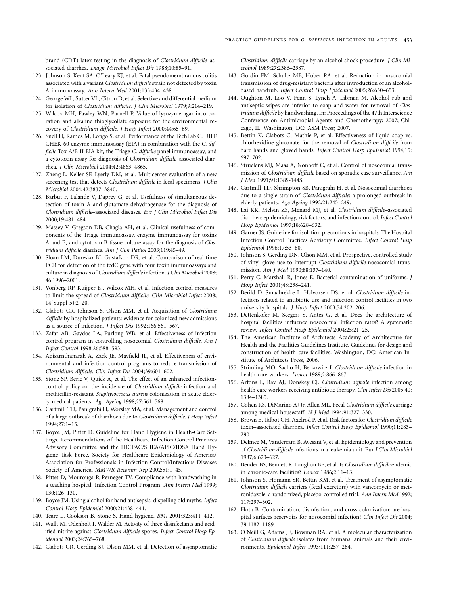brand (CDT) latex testing in the diagnosis of *Clostridium difficile*–associated diarrhea. *Diagn Microbiol Infect Dis* 1988;10:85–91.

- 123. Johnson S, Kent SA, O'Leary KJ, et al. Fatal pseudomembranous colitis associated with a variant *Clostridium difficile* strain not detected by toxin A immunoassay. *Ann Intern Med* 2001;135:434–438.
- 124. George WL, Sutter VL, Citron D, et al. Selective and differential medium for isolation of *Clostridium difficile*. *J Clin Microbiol* 1979;9:214–219.
- 125. Wilcox MH, Fawley WN, Parnell P. Value of lysozyme agar incorporation and alkaline thioglycollate exposure for the environmental recovery of *Clostridium difficile*. *J Hosp Infect* 2000;44:65–69.
- 126. Snell H, Ramos M, Longo S, et al. Performance of the TechLab C. DIFF CHEK-60 enzyme immunoassay (EIA) in combination with the *C. difficile* Tox A/B II EIA kit, the Triage *C. difficile* panel immunoassay, and a cytotoxin assay for diagnosis of *Clostridium difficile*–associated diarrhea. *J Clin Microbiol* 2004;42:4863–4865.
- 127. Zheng L, Keller SF, Lyerly DM, et al. Multicenter evaluation of a new screening test that detects *Clostridium difficile* in fecal specimens. *J Clin Microbiol* 2004;42:3837–3840.
- 128. Barbut F, Lalande V, Daprey G, et al. Usefulness of simultaneous detection of toxin A and glutamate dehydrogenase for the diagnosis of *Clostridium difficile*–associated diseases. *Eur J Clin Microbiol Infect Dis*  2000;19:481–484.
- 129. Massey V, Gregson DB, Chagla AH, et al. Clinical usefulness of components of the Triage immunoassay, enzyme immunoassay for toxins A and B, and cytotoxin B tissue culture assay for the diagnosis of *Clostridium difficile* diarrhea. *Am J Clin Pathol* 2003;119:45–49.
- 130. Sloan LM, Duresko BJ, Gustafson DR, et al. Comparison of real-time PCR for detection of the tcdC gene with four toxin immunoassays and culture in diagnosis of *Clostridium difficile* infection. *J Clin Microbiol* 2008; 46:1996–2001.
- 131. Vonberg RP, Kuijper EJ, Wilcox MH, et al. Infection control measures to limit the spread of *Clostridium difficile*. *Clin Microbiol Infect* 2008; 14(Suppl 5):2–20.
- 132. Clabots CR, Johnson S, Olson MM, et al. Acquisition of *Clostridium difficile* by hospitalized patients: evidence for colonized new admissions as a source of infection. *J Infect Dis* 1992;166:561–567.
- 133. Zafar AB, Gaydos LA, Furlong WB, et al. Effectiveness of infection control program in controlling nosocomial *Clostridium difficile*. *Am J Infect Control* 1998;26:588–593.
- 134. Apisarnthanarak A, Zack JE, Mayfield JL, et al. Effectiveness of environmental and infection control programs to reduce transmission of *Clostridium difficile*. *Clin Infect Dis* 2004;39:601–602.
- 135. Stone SP, Beric V, Quick A, et al. The effect of an enhanced infectioncontrol policy on the incidence of *Clostridium difficile* infection and methicillin-resistant *Staphyloccocus aureus* colonization in acute elderly medical patients. *Age Ageing* 1998;27:561–568.
- 136. Cartmill TD, Panigrahi H, Worsley MA, et al. Management and control of a large outbreak of diarrhoea due to *Clostridium difficile*. *J Hosp Infect*  1994;27:1–15.
- 137. Boyce JM, Pittet D. Guideline for Hand Hygiene in Health-Care Settings. Recommendations of the Healthcare Infection Control Practices Advisory Committee and the HICPAC/SHEA/APIC/IDSA Hand Hygiene Task Force. Society for Healthcare Epidemiology of America/ Association for Professionals in Infection Control/Infectious Diseases Society of America. *MMWR Recomm Rep* 2002;51:1–45.
- 138. Pittet D, Mourouga P, Perneger TV. Compliance with handwashing in a teaching hospital. Infection Control Program. *Ann Intern Med* 1999; 130:126–130.
- 139. Boyce JM. Using alcohol for hand antisepsis: dispelling old myths. *Infect Control Hosp Epidemiol* 2000;21:438–441.
- 140. Teare L, Cookson B, Stone S. Hand hygiene. *BMJ* 2001;323:411–412.
- 141. Wullt M, Odenholt I, Walder M. Activity of three disinfectants and acidified nitrite against *Clostridium difficile* spores. *Infect Control Hosp Epidemiol* 2003;24:765–768.
- 142. Clabots CR, Gerding SJ, Olson MM, et al. Detection of asymptomatic

*Clostridium difficile* carriage by an alcohol shock procedure. *J Clin Microbiol* 1989;27:2386–2387.

- 143. Gordin FM, Schultz ME, Huber RA, et al. Reduction in nosocomial transmission of drug-resistant bacteria after introduction of an alcoholbased handrub. *Infect Control Hosp Epidemiol* 2005;26:650–653.
- 144. Oughton M, Loo V, Fenn S, Lynch A, Libman M. Alcohol rub and antiseptic wipes are inferior to soap and water for removal of *Clostridium difficile* by handwashing. In: Proceedings of the 47th Interscience Conference on Antimicrobial Agents and Chemotherapy; 2007; Chicago, IL. Washington, DC: ASM Press; 2007.
- 145. Bettin K, Clabots C, Mathie P, et al. Effectiveness of liquid soap vs. chlorhexidine gluconate for the removal of *Clostridium difficile* from bare hands and gloved hands. *Infect Control Hosp Epidemiol* 1994;15: 697–702.
- 146. Struelens MJ, Maas A, Nonhoff C, et al. Control of nosocomial transmission of *Clostridium difficile* based on sporadic case surveillance. *Am J Med* 1991;91:138S-144S.
- 147. Cartmill TD, Shrimpton SB, Panigrahi H, et al. Nosocomial diarrhoea due to a single strain of *Clostridium difficile*: a prolonged outbreak in elderly patients. *Age Ageing* 1992;21:245–249.
- 148. Lai KK, Melvin ZS, Menard MJ, et al. *Clostridium difficile*–associated diarrhea: epidemiology, risk factors, and infection control. *Infect Control Hosp Epidemiol* 1997;18:628–632.
- 149. Garner JS. Guideline for isolation precautions in hospitals. The Hospital Infection Control Practices Advisory Committee. *Infect Control Hosp Epidemiol* 1996;17:53–80.
- 150. Johnson S, Gerding DN, Olson MM, et al. Prospective, controlled study of vinyl glove use to interrupt *Clostridium difficile* nosocomial transmission. *Am J Med* 1990;88:137–140.
- 151. Perry C, Marshall R, Jones E. Bacterial contamination of uniforms. *J Hosp Infect* 2001;48:238–241.
- 152. Berild D, Smaabrekke L, Halvorsen DS, et al. *Clostridium difficile* infections related to antibiotic use and infection control facilities in two university hospitals. *J Hosp Infect* 2003;54:202–206.
- 153. Dettenkofer M, Seegers S, Antes G, et al. Does the architecture of hospital facilities influence nosocomial infection rates? A systematic review. *Infect Control Hosp Epidemiol* 2004;25:21–25.
- 154. The American Institute of Architects Academy of Architecture for Health and the Facilities Guidelines Institute. Guidelines for design and construction of health care facilities. Washington, DC: American Institute of Architects Press, 2006.
- 155. Strimling MO, Sacho H, Berkowitz I. *Clostridium difficile* infection in health-care workers. *Lancet* 1989;2:866–867.
- 156. Arfons L, Ray AJ, Donskey CJ. *Clostridium difficile* infection among health care workers receiving antibiotic therapy. *Clin Infect Dis* 2005;40: 1384–1385.
- 157. Cohen RS, DiMarino AJ Jr, Allen ML. Fecal *Clostridium difficile* carriage among medical housestaff. *N J Med* 1994;91:327–330.
- 158. Brown E, Talbot GH, Axelrod P, et al. Risk factors for *Clostridium difficile*  toxin–associated diarrhea. *Infect Control Hosp Epidemiol* 1990;11:283– 290.
- 159. Delmee M, Vandercam B, Avesani V, et al. Epidemiology and prevention of *Clostridium difficile* infections in a leukemia unit. Eur *J Clin Microbiol*  1987;6:623–627.
- 160. Bender BS, Bennett R, Laughon BE, et al. Is *Clostridium difficile* endemic in chronic-care facilities? *Lancet* 1986;2:11–13.
- 161. Johnson S, Homann SR, Bettin KM, et al. Treatment of asymptomatic *Clostridium difficile* carriers (fecal excretors) with vancomycin or metronidazole: a randomized, placebo-controlled trial. *Ann Intern Med* 1992; 117:297–302.
- 162. Hota B. Contamination, disinfection, and cross-colonization: are hospital surfaces reservoirs for nosocomial infection? *Clin Infect Dis* 2004; 39:1182–1189.
- 163. O'Neill G, Adams JE, Bowman RA, et al. A molecular characterization of *Clostridium difficile* isolates from humans, animals and their environments. *Epidemiol Infect* 1993;111:257–264.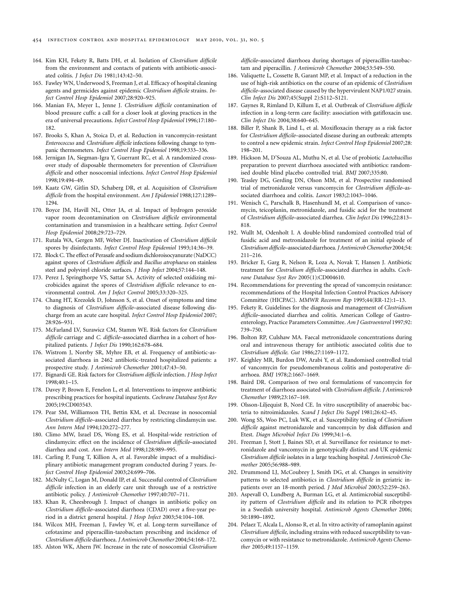- 164. Kim KH, Fekety R, Batts DH, et al. Isolation of *Clostridium difficile*  from the environment and contacts of patients with antibiotic-associated colitis. *J Infect Dis* 1981;143:42–50.
- 165. Fawley WN, Underwood S, Freeman J, et al. Efficacy of hospital cleaning agents and germicides against epidemic *Clostridium difficile* strains. *Infect Control Hosp Epidemiol* 2007;28:920–925.
- 166. Manian FA, Meyer L, Jenne J. *Clostridium difficile* contamination of blood pressure cuffs: a call for a closer look at gloving practices in the era of universal precautions. *Infect Control Hosp Epidemiol* 1996;17:180– 182.
- 167. Brooks S, Khan A, Stoica D, et al. Reduction in vancomycin-resistant *Enterococcus* and *Clostridium difficile* infections following change to tympanic thermometers. *Infect Control Hosp Epidemiol* 1998;19:333–336.
- 168. Jernigan JA, Siegman-Igra Y, Guerrant RC, et al. A randomized crossover study of disposable thermometers for prevention of *Clostridium difficile* and other nosocomial infections. *Infect Control Hosp Epidemiol*  1998;19:494–49.
- 169. Kaatz GW, Gitlin SD, Schaberg DR, et al. Acquisition of *Clostridium difficile* from the hospital environment. *Am J Epidemiol* 1988;127:1289– 1294.
- 170. Boyce JM, Havill NL, Otter JA, et al. Impact of hydrogen peroxide vapor room decontamination on *Clostridium difficile* environmental contamination and transmission in a healthcare setting. *Infect Control Hosp Epidemiol* 2008;29:723–729.
- 171. Rutala WA, Gergen MF, Weber DJ. Inactivation of *Clostridium difficile*  spores by disinfectants. *Infect Control Hosp Epidemiol* 1993;14:36–39.
- 172. Block C. The effect of Perasafe and sodium dichloroisocyanurate (NaDCC) against spores of *Clostridium difficile* and *Bacillus atrophaeus* on stainless steel and polyvinyl chloride surfaces. *J Hosp Infect* 2004;57:144–148.
- 173. Perez J, Springthorpe VS, Sattar SA. Activity of selected oxidizing microbicides against the spores of *Clostridium difficile*: relevance to environmental control. *Am J Infect Control* 2005;33:320–325.
- 174. Chang HT, Krezolek D, Johnson S, et al. Onset of symptoms and time to diagnosis of *Clostridium difficile*–associated disease following discharge from an acute care hospital. *Infect Control Hosp Epidemiol* 2007; 28:926–931.
- 175. McFarland LV, Surawicz CM, Stamm WE. Risk factors for *Clostridium difficile* carriage and *C. difficile*–associated diarrhea in a cohort of hospitalized patients. *J Infect Dis* 1990;162:678–684.
- 176. Wistrom J, Norrby SR, Myhre EB, et al. Frequency of antibiotic-associated diarrhoea in 2462 antibiotic-treated hospitalized patients: a prospective study. *J Antimicrob Chemother* 2001;47:43–50.
- 177. Bignardi GE. Risk factors for *Clostridium difficile* infection. *J Hosp Infect*  1998;40:1–15.
- 178. Davey P, Brown E, Fenelon L, et al. Interventions to improve antibiotic prescribing practices for hospital inpatients. *Cochrane Database Syst Rev*  2005;19:CD003543.
- 179. Pear SM, Williamson TH, Bettin KM, et al. Decrease in nosocomial *Clostridium difficile*–associated diarrhea by restricting clindamycin use. *Ann Intern Med* 1994;120:272–277.
- 180. Climo MW, Israel DS, Wong ES, et al. Hospital-wide restriction of clindamycin: effect on the incidence of *Clostridium difficile*–associated diarrhea and cost. *Ann Intern Med* 1998;128:989–995.
- 181. Carling P, Fung T, Killion A, et al. Favorable impact of a multidisciplinary antibiotic management program conducted during 7 years. *Infect Control Hosp Epidemiol* 2003;24:699–706.
- 182. McNulty C, Logan M, Donald IP, et al. Successful control of *Clostridium difficile* infection in an elderly care unit through use of a restrictive antibiotic policy. *J Antimicrob Chemother* 1997;40:707–711.
- 183. Khan R, Cheesbrough J. Impact of changes in antibiotic policy on *Clostridium difficile*–associated diarrhoea (CDAD) over a five-year period in a district general hospital. *J Hosp Infect* 2003;54:104–108.
- 184. Wilcox MH, Freeman J, Fawley W, et al. Long-term surveillance of cefotaxime and piperacillin-tazobactam prescribing and incidence of *Clostridium difficile* diarrhoea. *J Antimicrob Chemother* 2004;54:168–172.
- 185. Alston WK, Ahern JW. Increase in the rate of nosocomial *Clostridium*

*difficile*–associated diarrhoea during shortages of piperacillin-tazobactam and piperacillin. *J Antimicrob Chemother* 2004;53:549–550.

- 186. Valiquette L, Cossette B, Garant MP, et al. Impact of a reduction in the use of high-risk antibiotics on the course of an epidemic of *Clostridium difficile*–associated disease caused by the hypervirulent NAP1/027 strain. *Clin Infect Dis* 2007;45(Suppl 2):S112–S121.
- 187. Gaynes R, Rimland D, Killum E, et al. Outbreak of *Clostridium difficile*  infection in a long-term care facility: association with gatifloxacin use. *Clin Infect Dis* 2004;38:640–645.
- 188. Biller P, Shank B, Lind L, et al. Moxifloxacin therapy as a risk factor for *Clostridium difficile*–associated disease during an outbreak: attempts to control a new epidemic strain. *Infect Control Hosp Epidemiol* 2007;28: 198–201.
- 189. Hickson M, D'Souza AL, Muthu N, et al. Use of probiotic *Lactobacillus*  preparation to prevent diarrhoea associated with antibiotics: randomised double blind placebo controlled trial. *BMJ* 2007;335:80.
- 190. Teasley DG, Gerding DN, Olson MM, et al. Prospective randomised trial of metronidazole versus vancomycin for *Clostridium difficile*–associated diarrhoea and colitis. *Lancet* 1983;2:1043–1046.
- 191. Wenisch C, Parschalk B, Hasenhundl M, et al. Comparison of vancomycin, teicoplanin, metronidazole, and fusidic acid for the treatment of *Clostridium difficile*–associated diarrhea. *Clin Infect Dis* 1996;22:813– 818.
- 192. Wullt M, Odenholt I. A double-blind randomized controlled trial of fusidic acid and metronidazole for treatment of an initial episode of *Clostridium difficile*–associated diarrhoea. *J Antimicrob Chemother* 2004;54: 211–216.
- 193. Bricker E, Garg R, Nelson R, Loza A, Novak T, Hansen J. Antibiotic treatment for *Clostridium difficile*–associated diarrhea in adults. *Cochrane Database Syst Rev* 2005(1):CD004610.
- 194. Recommendations for preventing the spread of vancomycin resistance: recommendations of the Hospital Infection Control Practices Advisory Committee (HICPAC). *MMWR Recomm Rep* 1995;44(RR-12):1–13.
- 195. Fekety R. Guidelines for the diagnosis and management of *Clostridium difficile*–associated diarrhea and colitis. American College of Gastroenterology, Practice Parameters Committee. *Am J Gastroenterol* 1997;92: 739–750.
- 196. Bolton RP, Culshaw MA. Faecal metronidazole concentrations during oral and intravenous therapy for antibiotic associated colitis due to *Clostridium difficile*. *Gut* 1986;27:1169–1172.
- 197. Keighley MR, Burdon DW, Arabi Y, et al. Randomised controlled trial of vancomycin for pseudomembranous colitis and postoperative diarrhoea. *BMJ* 1978;2:1667–1669.
- 198. Baird DR. Comparison of two oral formulations of vancomycin for treatment of diarrhoea associated with *Clostridium difficile*. *J Antimicrob Chemother* 1989;23:167–169.
- 199. Olsson-Liljequist B, Nord CE. In vitro susceptibility of anaerobic bacteria to nitroimidazoles. *Scand J Infect Dis Suppl* 1981;26:42–45.
- 200. Wong SS, Woo PC, Luk WK, et al. Susceptibility testing of *Clostridium difficile* against metronidazole and vancomycin by disk diffusion and Etest. *Diagn Microbiol Infect Dis* 1999;34:1–6.
- 201. Freeman J, Stott J, Baines SD, et al. Surveillance for resistance to metronidazole and vancomycin in genotypically distinct and UK epidemic *Clostridium difficile* isolates in a large teaching hospital. *J Antimicrob Chemother* 2005;56:988–989.
- 202. Drummond LJ, McCoubrey J, Smith DG, et al. Changes in sensitivity patterns to selected antibiotics in *Clostridium difficile* in geriatric inpatients over an 18-month period. *J Med Microbiol* 2003;52:259–263.
- 203. Aspevall O, Lundberg A, Burman LG, et al. Antimicrobial susceptibility pattern of *Clostridium difficile* and its relation to PCR ribotypes in a Swedish university hospital. *Antimicrob Agents Chemother* 2006; 50:1890–1892.
- 204. Pelaez T, Alcala L, Alonso R, et al. In vitro activity of ramoplanin against *Clostridium difficile*, including strains with reduced susceptibility to vancomycin or with resistance to metronidazole. *Antimicrob Agents Chemother* 2005;49:1157–1159.